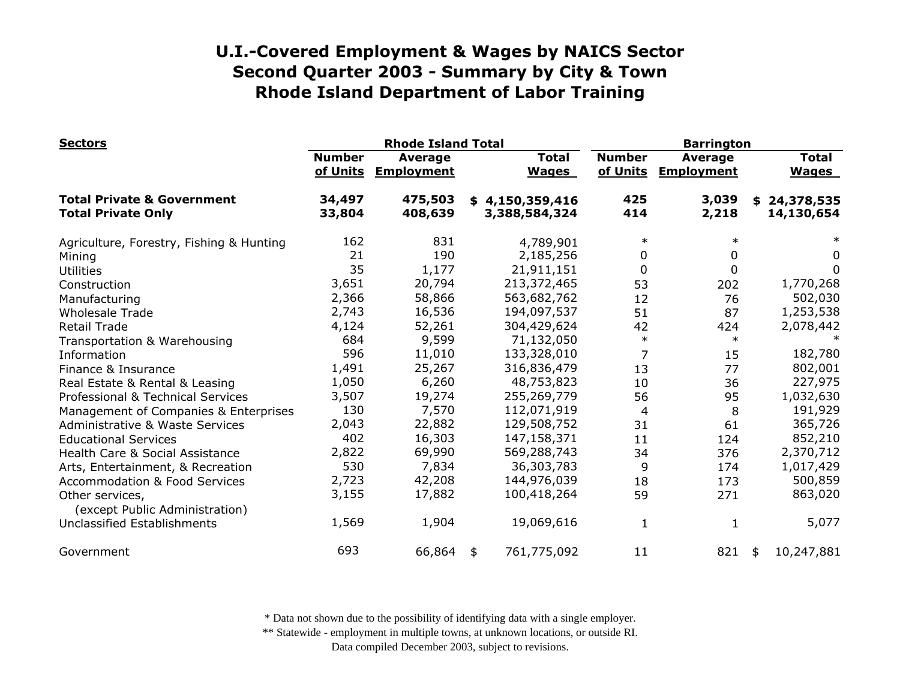| <b>Sectors</b>                                                     | <b>Rhode Island Total</b> |                              |                                  |                              | <b>Barrington</b>         |                                     |    |                              |
|--------------------------------------------------------------------|---------------------------|------------------------------|----------------------------------|------------------------------|---------------------------|-------------------------------------|----|------------------------------|
|                                                                    | <b>Number</b><br>of Units | Average<br><b>Employment</b> |                                  | <b>Total</b><br><b>Wages</b> | <b>Number</b><br>of Units | <b>Average</b><br><b>Employment</b> |    | <b>Total</b><br><b>Wages</b> |
| <b>Total Private &amp; Government</b><br><b>Total Private Only</b> | 34,497<br>33,804          | 475,503<br>408,639           | \$4,150,359,416<br>3,388,584,324 |                              | 425<br>414                | 3,039<br>2,218                      | \$ | 24,378,535<br>14,130,654     |
| Agriculture, Forestry, Fishing & Hunting                           | 162                       | 831                          |                                  | 4,789,901                    | $\ast$                    | $\ast$                              |    |                              |
| Mining                                                             | 21                        | 190                          |                                  | 2,185,256                    | 0                         | 0                                   |    | 0                            |
| <b>Utilities</b>                                                   | 35                        | 1,177                        |                                  | 21,911,151                   | 0                         | $\mathbf 0$                         |    | 0                            |
| Construction                                                       | 3,651                     | 20,794                       | 213,372,465                      |                              | 53                        | 202                                 |    | 1,770,268                    |
| Manufacturing                                                      | 2,366                     | 58,866                       | 563,682,762                      |                              | 12                        | 76                                  |    | 502,030                      |
| <b>Wholesale Trade</b>                                             | 2,743                     | 16,536                       | 194,097,537                      |                              | 51                        | 87                                  |    | 1,253,538                    |
| <b>Retail Trade</b>                                                | 4,124                     | 52,261                       | 304,429,624                      |                              | 42                        | 424                                 |    | 2,078,442                    |
| Transportation & Warehousing                                       | 684                       | 9,599                        |                                  | 71,132,050                   | $\ast$                    | $\ast$                              |    |                              |
| Information                                                        | 596                       | 11,010                       | 133,328,010                      |                              | $\overline{7}$            | 15                                  |    | 182,780                      |
| Finance & Insurance                                                | 1,491                     | 25,267                       | 316,836,479                      |                              | 13                        | 77                                  |    | 802,001                      |
| Real Estate & Rental & Leasing                                     | 1,050                     | 6,260                        |                                  | 48,753,823                   | 10                        | 36                                  |    | 227,975                      |
| Professional & Technical Services                                  | 3,507                     | 19,274                       | 255,269,779                      |                              | 56                        | 95                                  |    | 1,032,630                    |
| Management of Companies & Enterprises                              | 130                       | 7,570                        | 112,071,919                      |                              | 4                         | 8                                   |    | 191,929                      |
| <b>Administrative &amp; Waste Services</b>                         | 2,043                     | 22,882                       | 129,508,752                      |                              | 31                        | 61                                  |    | 365,726                      |
| <b>Educational Services</b>                                        | 402                       | 16,303                       | 147,158,371                      |                              | 11                        | 124                                 |    | 852,210                      |
| Health Care & Social Assistance                                    | 2,822                     | 69,990                       | 569,288,743                      |                              | 34                        | 376                                 |    | 2,370,712                    |
| Arts, Entertainment, & Recreation                                  | 530                       | 7,834                        |                                  | 36,303,783                   | 9                         | 174                                 |    | 1,017,429                    |
| <b>Accommodation &amp; Food Services</b>                           | 2,723                     | 42,208                       | 144,976,039                      |                              | 18                        | 173                                 |    | 500,859                      |
| Other services,<br>(except Public Administration)                  | 3,155                     | 17,882                       | 100,418,264                      |                              | 59                        | 271                                 |    | 863,020                      |
| Unclassified Establishments                                        | 1,569                     | 1,904                        |                                  | 19,069,616                   | 1                         | 1                                   |    | 5,077                        |
| Government                                                         | 693                       | 66,864                       | 761,775,092<br>\$                |                              | 11                        | 821                                 | \$ | 10,247,881                   |

\* Data not shown due to the possibility of identifying data with a single employer.

\*\* Statewide - employment in multiple towns, at unknown locations, or outside RI.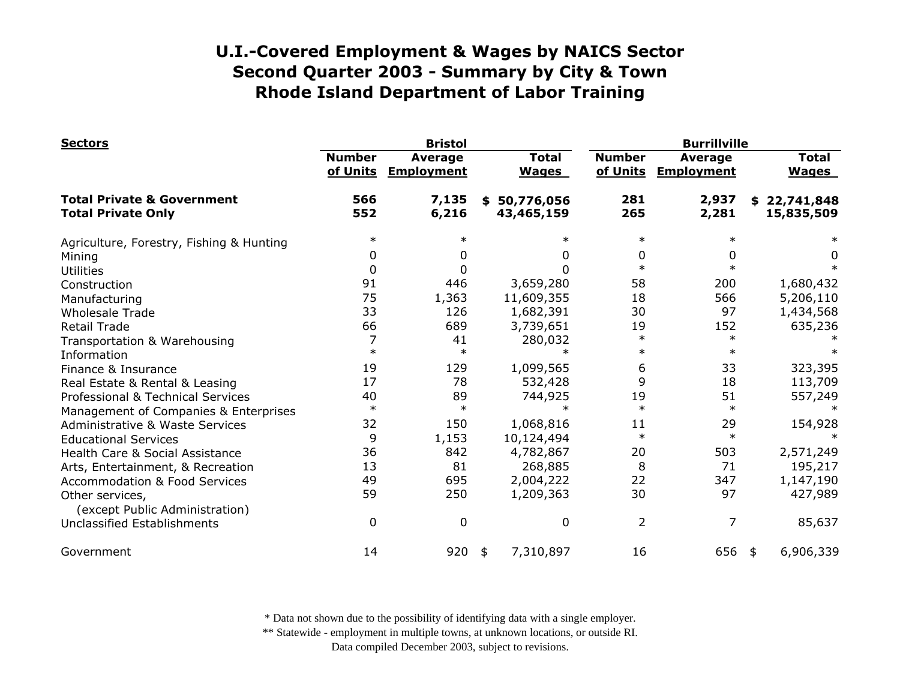| <b>Sectors</b>                                                     |                           | <b>Bristol</b>                      |                                |                           | <b>Burrillville</b>                 |                                |  |  |
|--------------------------------------------------------------------|---------------------------|-------------------------------------|--------------------------------|---------------------------|-------------------------------------|--------------------------------|--|--|
|                                                                    | <b>Number</b><br>of Units | <b>Average</b><br><b>Employment</b> | <b>Total</b><br><b>Wages</b>   | <b>Number</b><br>of Units | <b>Average</b><br><b>Employment</b> | <b>Total</b><br><b>Wages</b>   |  |  |
| <b>Total Private &amp; Government</b><br><b>Total Private Only</b> | 566<br>552                | 7,135<br>6,216                      | 50,776,056<br>\$<br>43,465,159 | 281<br>265                | 2,937<br>2,281                      | 22,741,848<br>\$<br>15,835,509 |  |  |
| Agriculture, Forestry, Fishing & Hunting                           | $\ast$                    |                                     | $\ast$                         | $\ast$                    | $\ast$                              |                                |  |  |
| Mining                                                             | 0                         |                                     | 0                              | 0                         | 0                                   | 0                              |  |  |
| <b>Utilities</b>                                                   | 0                         |                                     | 0                              | $\ast$                    | $\ast$                              | $\ast$                         |  |  |
| Construction                                                       | 91                        | 446                                 | 3,659,280                      | 58                        | 200                                 | 1,680,432                      |  |  |
| Manufacturing                                                      | 75                        | 1,363                               | 11,609,355                     | 18                        | 566                                 | 5,206,110                      |  |  |
| <b>Wholesale Trade</b>                                             | 33                        | 126                                 | 1,682,391                      | 30                        | 97                                  | 1,434,568                      |  |  |
| <b>Retail Trade</b>                                                | 66                        | 689                                 | 3,739,651                      | 19                        | 152                                 | 635,236                        |  |  |
| Transportation & Warehousing                                       | 7                         | 41                                  | 280,032                        | $\ast$                    | $\ast$                              |                                |  |  |
| Information                                                        | $\ast$                    | $\ast$                              | $\ast$                         | $\ast$                    | $\ast$                              |                                |  |  |
| Finance & Insurance                                                | 19                        | 129                                 | 1,099,565                      | 6                         | 33                                  | 323,395                        |  |  |
| Real Estate & Rental & Leasing                                     | 17                        | 78                                  | 532,428                        | 9                         | 18                                  | 113,709                        |  |  |
| Professional & Technical Services                                  | 40                        | 89                                  | 744,925                        | 19                        | 51                                  | 557,249                        |  |  |
| Management of Companies & Enterprises                              | $\ast$                    | $\ast$                              | $\ast$                         | $\ast$                    | $\ast$                              |                                |  |  |
| <b>Administrative &amp; Waste Services</b>                         | 32                        | 150                                 | 1,068,816                      | 11                        | 29                                  | 154,928                        |  |  |
| <b>Educational Services</b>                                        | 9                         | 1,153                               | 10,124,494                     | $\ast$                    | $\ast$                              |                                |  |  |
| Health Care & Social Assistance                                    | 36                        | 842                                 | 4,782,867                      | 20                        | 503                                 | 2,571,249                      |  |  |
| Arts, Entertainment, & Recreation                                  | 13                        | 81                                  | 268,885                        | 8                         | 71                                  | 195,217                        |  |  |
| <b>Accommodation &amp; Food Services</b>                           | 49                        | 695                                 | 2,004,222                      | 22                        | 347                                 | 1,147,190                      |  |  |
| Other services,<br>(except Public Administration)                  | 59                        | 250                                 | 1,209,363                      | 30                        | 97                                  | 427,989                        |  |  |
| <b>Unclassified Establishments</b>                                 | 0                         | 0                                   | 0                              | 2                         | 7                                   | 85,637                         |  |  |
| Government                                                         | 14                        | 920                                 | 7,310,897<br>\$                | 16                        | 656                                 | 6,906,339<br>\$                |  |  |

\* Data not shown due to the possibility of identifying data with a single employer.

\*\* Statewide - employment in multiple towns, at unknown locations, or outside RI.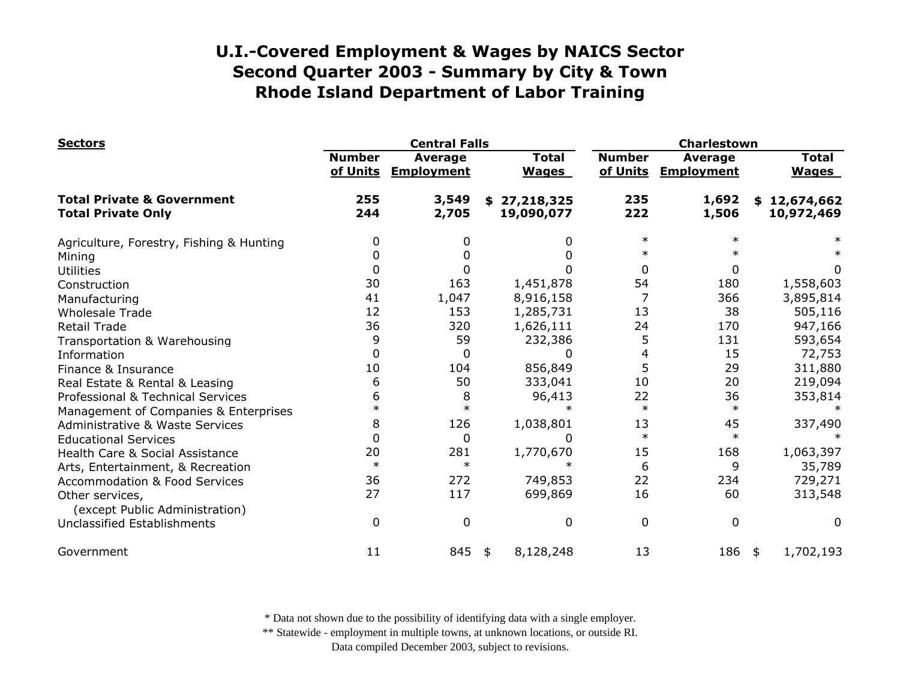| <b>Sectors</b>                                                     |                           | <b>Central Falls</b>         |                              |                           | Charlestown                         |                              |  |  |
|--------------------------------------------------------------------|---------------------------|------------------------------|------------------------------|---------------------------|-------------------------------------|------------------------------|--|--|
|                                                                    | <b>Number</b><br>of Units | Average<br><b>Employment</b> | <b>Total</b><br><b>Wages</b> | <b>Number</b><br>of Units | <b>Average</b><br><b>Employment</b> | <b>Total</b><br><b>Wages</b> |  |  |
| <b>Total Private &amp; Government</b><br><b>Total Private Only</b> | 255<br>244                | 3,549<br>2,705               | \$27,218,325<br>19,090,077   | 235<br>222                | 1,692<br>1,506                      | \$12,674,662<br>10,972,469   |  |  |
| Agriculture, Forestry, Fishing & Hunting                           | 0                         |                              | 0                            | $\ast$                    | $\ast$                              |                              |  |  |
| Mining                                                             | 0                         |                              | O                            |                           |                                     |                              |  |  |
| <b>Utilities</b>                                                   | 0                         |                              | 0                            | $\mathbf{0}$              | 0                                   | 0                            |  |  |
| Construction                                                       | 30                        | 163                          | 1,451,878                    | 54                        | 180                                 | 1,558,603                    |  |  |
| Manufacturing                                                      | 41                        | 1,047                        | 8,916,158                    |                           | 366                                 | 3,895,814                    |  |  |
| <b>Wholesale Trade</b>                                             | 12                        | 153                          | 1,285,731                    | 13                        | 38                                  | 505,116                      |  |  |
| <b>Retail Trade</b>                                                | 36                        | 320                          | 1,626,111                    | 24                        | 170                                 | 947,166                      |  |  |
| Transportation & Warehousing                                       | 9                         | 59                           | 232,386                      | 5                         | 131                                 | 593,654                      |  |  |
| Information                                                        | 0                         | 0                            | U                            | 4                         | 15                                  | 72,753                       |  |  |
| Finance & Insurance                                                | 10                        | 104                          | 856,849                      | 5                         | 29                                  | 311,880                      |  |  |
| Real Estate & Rental & Leasing                                     | 6                         | 50                           | 333,041                      | 10                        | 20                                  | 219,094                      |  |  |
| Professional & Technical Services                                  | 6                         | 8                            | 96,413                       | 22                        | 36                                  | 353,814                      |  |  |
| Management of Companies & Enterprises                              |                           | $\ast$                       |                              | $\ast$                    | $\ast$                              |                              |  |  |
| Administrative & Waste Services                                    | 8                         | 126                          | 1,038,801                    | 13                        | 45                                  | 337,490                      |  |  |
| <b>Educational Services</b>                                        | 0                         | 0                            | 0                            | $\ast$                    | $\ast$                              |                              |  |  |
| Health Care & Social Assistance                                    | 20                        | 281                          | 1,770,670                    | 15                        | 168                                 | 1,063,397                    |  |  |
| Arts, Entertainment, & Recreation                                  | $\ast$                    | $\ast$                       | $\ast$                       | 6                         | 9                                   | 35,789                       |  |  |
| <b>Accommodation &amp; Food Services</b>                           | 36                        | 272                          | 749,853                      | 22                        | 234                                 | 729,271                      |  |  |
| Other services,<br>(except Public Administration)                  | 27                        | 117                          | 699,869                      | 16                        | 60                                  | 313,548                      |  |  |
| Unclassified Establishments                                        | $\mathbf 0$               | $\mathbf{0}$                 | 0                            | 0                         | $\mathbf 0$                         | 0                            |  |  |
| Government                                                         | 11                        | 845                          | 8,128,248<br>\$              | 13                        | 186                                 | 1,702,193<br>\$              |  |  |

\* Data not shown due to the possibility of identifying data with a single employer.

\*\* Statewide - employment in multiple towns, at unknown locations, or outside RI.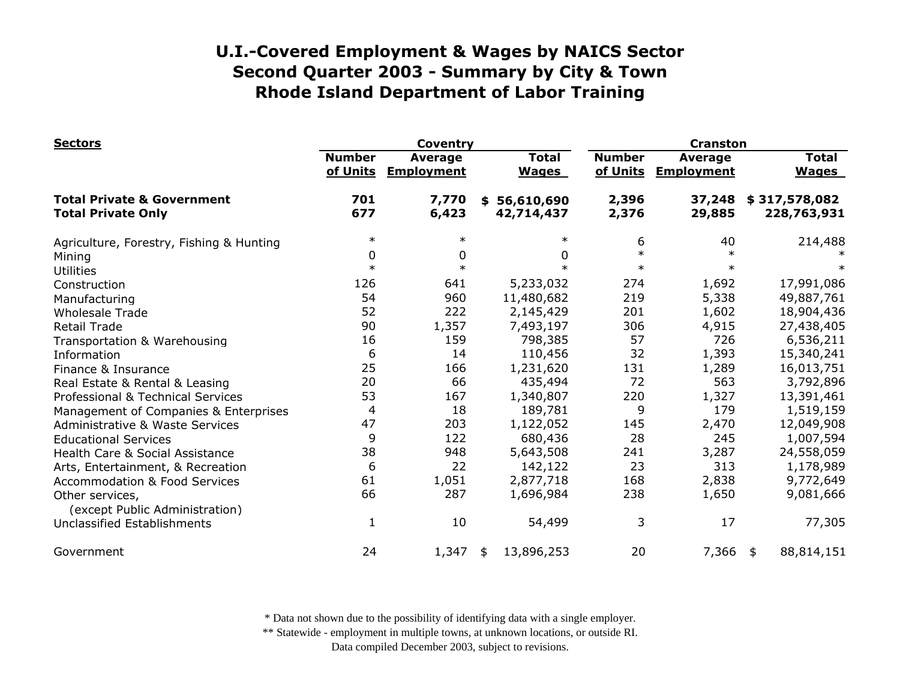| <b>Sectors</b>                                                     |                           | <b>Coventry</b>                     |                                | <b>Cranston</b>           |                                     |                              |  |
|--------------------------------------------------------------------|---------------------------|-------------------------------------|--------------------------------|---------------------------|-------------------------------------|------------------------------|--|
|                                                                    | <b>Number</b><br>of Units | <b>Average</b><br><b>Employment</b> | <b>Total</b><br><b>Wages</b>   | <b>Number</b><br>of Units | <b>Average</b><br><b>Employment</b> | <b>Total</b><br><b>Wages</b> |  |
| <b>Total Private &amp; Government</b><br><b>Total Private Only</b> | 701<br>677                | 7,770<br>6,423                      | 56,610,690<br>\$<br>42,714,437 | 2,396<br>2,376            | 37,248<br>29,885                    | \$317,578,082<br>228,763,931 |  |
| Agriculture, Forestry, Fishing & Hunting                           | $\ast$                    | $\ast$                              | $\ast$                         | 6                         | 40                                  | 214,488                      |  |
| Mining                                                             | 0                         | 0                                   | 0                              | $\ast$                    |                                     |                              |  |
| <b>Utilities</b>                                                   | $\ast$                    | $\ast$                              | $\ast$                         | $\ast$                    |                                     |                              |  |
| Construction                                                       | 126                       | 641                                 | 5,233,032                      | 274                       | 1,692                               | 17,991,086                   |  |
| Manufacturing                                                      | 54                        | 960                                 | 11,480,682                     | 219                       | 5,338                               | 49,887,761                   |  |
| <b>Wholesale Trade</b>                                             | 52                        | 222                                 | 2,145,429                      | 201                       | 1,602                               | 18,904,436                   |  |
| <b>Retail Trade</b>                                                | 90                        | 1,357                               | 7,493,197                      | 306                       | 4,915                               | 27,438,405                   |  |
| Transportation & Warehousing                                       | 16                        | 159                                 | 798,385                        | 57                        | 726                                 | 6,536,211                    |  |
| Information                                                        | 6                         | 14                                  | 110,456                        | 32                        | 1,393                               | 15,340,241                   |  |
| Finance & Insurance                                                | 25                        | 166                                 | 1,231,620                      | 131                       | 1,289                               | 16,013,751                   |  |
| Real Estate & Rental & Leasing                                     | 20                        | 66                                  | 435,494                        | 72                        | 563                                 | 3,792,896                    |  |
| Professional & Technical Services                                  | 53                        | 167                                 | 1,340,807                      | 220                       | 1,327                               | 13,391,461                   |  |
| Management of Companies & Enterprises                              | 4                         | 18                                  | 189,781                        | 9                         | 179                                 | 1,519,159                    |  |
| <b>Administrative &amp; Waste Services</b>                         | 47                        | 203                                 | 1,122,052                      | 145                       | 2,470                               | 12,049,908                   |  |
| <b>Educational Services</b>                                        | 9                         | 122                                 | 680,436                        | 28                        | 245                                 | 1,007,594                    |  |
| Health Care & Social Assistance                                    | 38                        | 948                                 | 5,643,508                      | 241                       | 3,287                               | 24,558,059                   |  |
| Arts, Entertainment, & Recreation                                  | 6                         | 22                                  | 142,122                        | 23                        | 313                                 | 1,178,989                    |  |
| <b>Accommodation &amp; Food Services</b>                           | 61                        | 1,051                               | 2,877,718                      | 168                       | 2,838                               | 9,772,649                    |  |
| Other services,<br>(except Public Administration)                  | 66                        | 287                                 | 1,696,984                      | 238                       | 1,650                               | 9,081,666                    |  |
| Unclassified Establishments                                        | $\mathbf{1}$              | 10                                  | 54,499                         | 3                         | 17                                  | 77,305                       |  |
| Government                                                         | 24                        | 1,347                               | 13,896,253<br>\$               | 20                        | 7,366                               | 88,814,151<br>\$             |  |

\* Data not shown due to the possibility of identifying data with a single employer.

\*\* Statewide - employment in multiple towns, at unknown locations, or outside RI.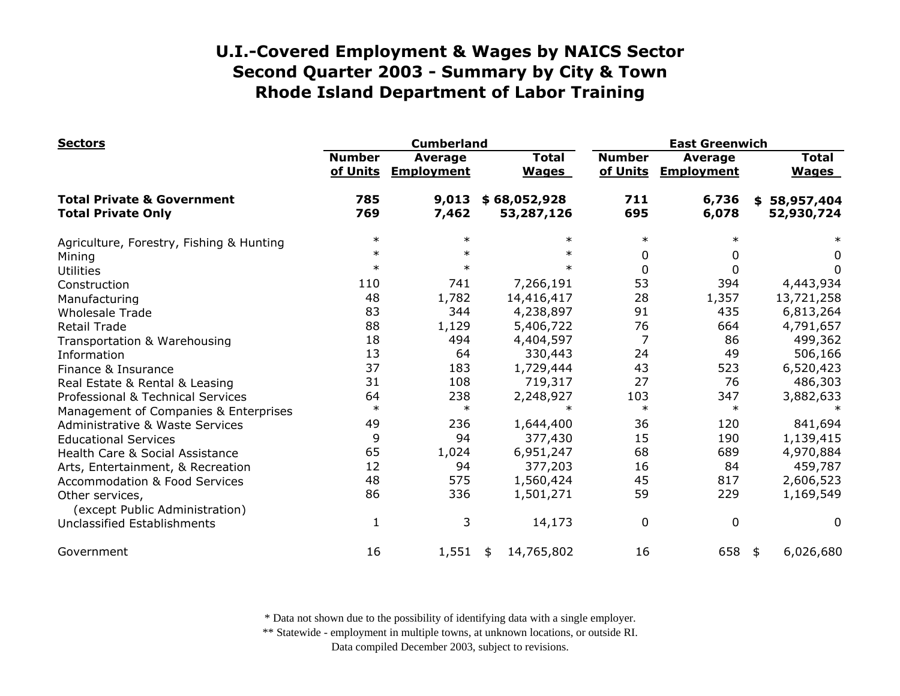| <b>Sectors</b>                                                     |                           | <b>Cumberland</b>                   |                              | <b>East Greenwich</b>     |                                     |                                |  |
|--------------------------------------------------------------------|---------------------------|-------------------------------------|------------------------------|---------------------------|-------------------------------------|--------------------------------|--|
|                                                                    | <b>Number</b><br>of Units | <b>Average</b><br><b>Employment</b> | <b>Total</b><br><b>Wages</b> | <b>Number</b><br>of Units | <b>Average</b><br><b>Employment</b> | <b>Total</b><br><b>Wages</b>   |  |
| <b>Total Private &amp; Government</b><br><b>Total Private Only</b> | 785<br>769                | 9,013<br>7,462                      | \$68,052,928<br>53,287,126   | 711<br>695                | 6,736<br>6,078                      | 58,957,404<br>\$<br>52,930,724 |  |
| Agriculture, Forestry, Fishing & Hunting                           | $\ast$                    | $\ast$                              | $\ast$                       | $\ast$                    | $\ast$                              |                                |  |
| Mining                                                             | $\ast$                    | $\ast$                              | $\ast$                       | 0                         | 0                                   | 0                              |  |
| <b>Utilities</b>                                                   | $\ast$                    | $\ast$                              | $\ast$                       | 0                         | 0                                   | 0                              |  |
| Construction                                                       | 110                       | 741                                 | 7,266,191                    | 53                        | 394                                 | 4,443,934                      |  |
| Manufacturing                                                      | 48                        | 1,782                               | 14,416,417                   | 28                        | 1,357                               | 13,721,258                     |  |
| <b>Wholesale Trade</b>                                             | 83                        | 344                                 | 4,238,897                    | 91                        | 435                                 | 6,813,264                      |  |
| <b>Retail Trade</b>                                                | 88                        | 1,129                               | 5,406,722                    | 76                        | 664                                 | 4,791,657                      |  |
| Transportation & Warehousing                                       | 18                        | 494                                 | 4,404,597                    | $\overline{7}$            | 86                                  | 499,362                        |  |
| Information                                                        | 13                        | 64                                  | 330,443                      | 24                        | 49                                  | 506,166                        |  |
| Finance & Insurance                                                | 37                        | 183                                 | 1,729,444                    | 43                        | 523                                 | 6,520,423                      |  |
| Real Estate & Rental & Leasing                                     | 31                        | 108                                 | 719,317                      | 27                        | 76                                  | 486,303                        |  |
| Professional & Technical Services                                  | 64                        | 238                                 | 2,248,927                    | 103                       | 347                                 | 3,882,633                      |  |
| Management of Companies & Enterprises                              | $\ast$                    | $\ast$                              | $\ast$                       | $\ast$                    | $\ast$                              |                                |  |
| <b>Administrative &amp; Waste Services</b>                         | 49                        | 236                                 | 1,644,400                    | 36                        | 120                                 | 841,694                        |  |
| <b>Educational Services</b>                                        | 9                         | 94                                  | 377,430                      | 15                        | 190                                 | 1,139,415                      |  |
| Health Care & Social Assistance                                    | 65                        | 1,024                               | 6,951,247                    | 68                        | 689                                 | 4,970,884                      |  |
| Arts, Entertainment, & Recreation                                  | 12                        | 94                                  | 377,203                      | 16                        | 84                                  | 459,787                        |  |
| <b>Accommodation &amp; Food Services</b>                           | 48                        | 575                                 | 1,560,424                    | 45                        | 817                                 | 2,606,523                      |  |
| Other services,<br>(except Public Administration)                  | 86                        | 336                                 | 1,501,271                    | 59                        | 229                                 | 1,169,549                      |  |
| Unclassified Establishments                                        | 1                         | 3                                   | 14,173                       | 0                         | $\mathbf 0$                         | $\Omega$                       |  |
| Government                                                         | 16                        | 1,551                               | 14,765,802<br>\$             | 16                        | 658                                 | 6,026,680<br>\$                |  |

\* Data not shown due to the possibility of identifying data with a single employer.

\*\* Statewide - employment in multiple towns, at unknown locations, or outside RI.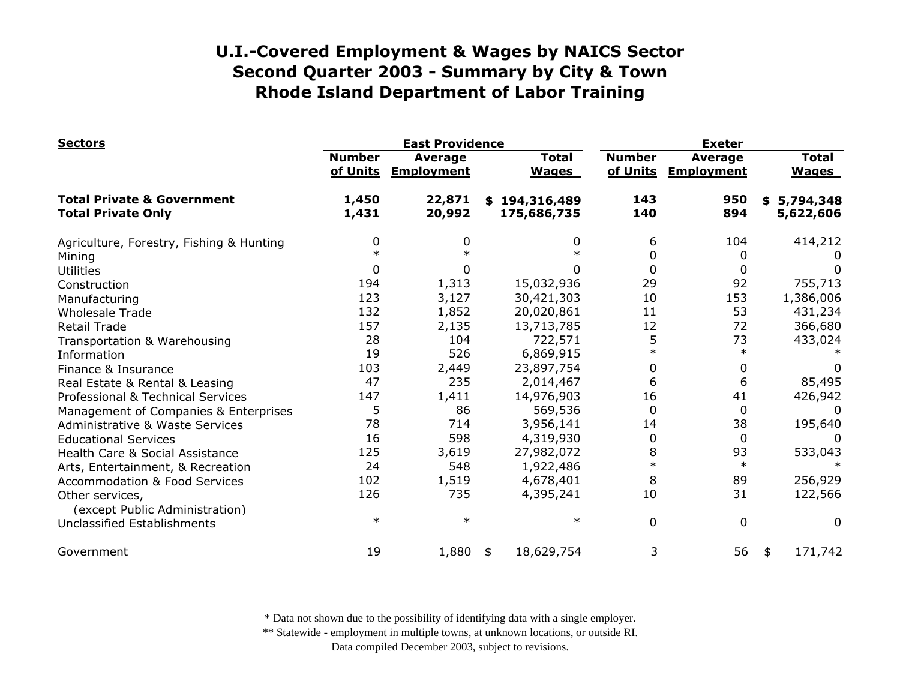| <b>Sectors</b>                                                     |                           | <b>East Providence</b>       |                              | <b>Exeter</b>             |                                     |                              |  |
|--------------------------------------------------------------------|---------------------------|------------------------------|------------------------------|---------------------------|-------------------------------------|------------------------------|--|
|                                                                    | <b>Number</b><br>of Units | Average<br><b>Employment</b> | <b>Total</b><br><b>Wages</b> | <b>Number</b><br>of Units | <b>Average</b><br><b>Employment</b> | <b>Total</b><br><b>Wages</b> |  |
| <b>Total Private &amp; Government</b><br><b>Total Private Only</b> | 1,450<br>1,431            | 22,871<br>20,992             | \$194,316,489<br>175,686,735 | 143<br>140                | 950<br>894                          | \$5,794,348<br>5,622,606     |  |
| Agriculture, Forestry, Fishing & Hunting                           | 0                         | 0                            | 0                            | 6                         | 104                                 | 414,212                      |  |
| Mining                                                             |                           |                              |                              | 0                         | 0                                   |                              |  |
| <b>Utilities</b>                                                   | 0                         |                              |                              | $\mathbf 0$               | 0                                   | $\Omega$                     |  |
| Construction                                                       | 194                       | 1,313                        | 15,032,936                   | 29                        | 92                                  | 755,713                      |  |
| Manufacturing                                                      | 123                       | 3,127                        | 30,421,303                   | 10                        | 153                                 | 1,386,006                    |  |
| <b>Wholesale Trade</b>                                             | 132                       | 1,852                        | 20,020,861                   | 11                        | 53                                  | 431,234                      |  |
| <b>Retail Trade</b>                                                | 157                       | 2,135                        | 13,713,785                   | 12                        | 72                                  | 366,680                      |  |
| Transportation & Warehousing                                       | 28                        | 104                          | 722,571                      | 5                         | 73                                  | 433,024                      |  |
| Information                                                        | 19                        | 526                          | 6,869,915                    | $\ast$                    | $\ast$                              |                              |  |
| Finance & Insurance                                                | 103                       | 2,449                        | 23,897,754                   | 0                         | 0                                   |                              |  |
| Real Estate & Rental & Leasing                                     | 47                        | 235                          | 2,014,467                    | 6                         | 6                                   | 85,495                       |  |
| Professional & Technical Services                                  | 147                       | 1,411                        | 14,976,903                   | 16                        | 41                                  | 426,942                      |  |
| Management of Companies & Enterprises                              | 5                         | 86                           | 569,536                      | $\Omega$                  | 0                                   | $\Omega$                     |  |
| <b>Administrative &amp; Waste Services</b>                         | 78                        | 714                          | 3,956,141                    | 14                        | 38                                  | 195,640                      |  |
| <b>Educational Services</b>                                        | 16                        | 598                          | 4,319,930                    | 0                         | $\Omega$                            | 0                            |  |
| Health Care & Social Assistance                                    | 125                       | 3,619                        | 27,982,072                   | 8                         | 93                                  | 533,043                      |  |
| Arts, Entertainment, & Recreation                                  | 24                        | 548                          | 1,922,486                    | $\ast$                    | $\ast$                              | $\ast$                       |  |
| <b>Accommodation &amp; Food Services</b>                           | 102                       | 1,519                        | 4,678,401                    | 8                         | 89                                  | 256,929                      |  |
| Other services,<br>(except Public Administration)                  | 126                       | 735                          | 4,395,241                    | 10                        | 31                                  | 122,566                      |  |
| Unclassified Establishments                                        | $\ast$                    | $\ast$                       | $\ast$                       | $\mathbf 0$               | 0                                   | 0                            |  |
| Government                                                         | 19                        | 1,880                        | 18,629,754<br>\$             | 3                         | 56                                  | 171,742<br>\$                |  |

\* Data not shown due to the possibility of identifying data with a single employer.

\*\* Statewide - employment in multiple towns, at unknown locations, or outside RI.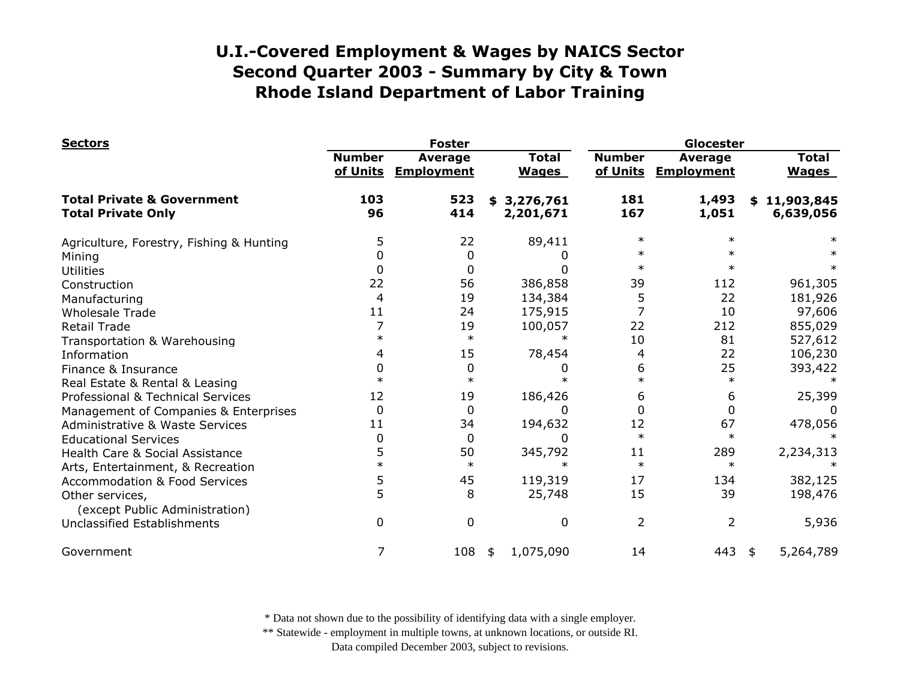| <b>Sectors</b>                                                     |                           | <b>Foster</b>                       |                              | Glocester                 |                              |                               |  |
|--------------------------------------------------------------------|---------------------------|-------------------------------------|------------------------------|---------------------------|------------------------------|-------------------------------|--|
|                                                                    | <b>Number</b><br>of Units | <b>Average</b><br><b>Employment</b> | <b>Total</b><br><b>Wages</b> | <b>Number</b><br>of Units | Average<br><b>Employment</b> | <b>Total</b><br><b>Wages</b>  |  |
| <b>Total Private &amp; Government</b><br><b>Total Private Only</b> | 103<br>96                 | 523<br>414                          | 3,276,761<br>\$<br>2,201,671 | 181<br>167                | 1,493<br>1,051               | 11,903,845<br>\$<br>6,639,056 |  |
| Agriculture, Forestry, Fishing & Hunting                           | 5                         | 22                                  | 89,411                       | $\ast$                    | $\ast$                       |                               |  |
| Mining                                                             | 0                         | 0                                   |                              | ж                         | $\ast$                       |                               |  |
| <b>Utilities</b>                                                   | 0                         | 0                                   | 0                            | $\ast$                    | $\ast$                       |                               |  |
| Construction                                                       | 22                        | 56                                  | 386,858                      | 39                        | 112                          | 961,305                       |  |
| Manufacturing                                                      | 4                         | 19                                  | 134,384                      | 5                         | 22                           | 181,926                       |  |
| <b>Wholesale Trade</b>                                             | 11                        | 24                                  | 175,915                      |                           | 10                           | 97,606                        |  |
| <b>Retail Trade</b>                                                |                           | 19                                  | 100,057                      | 22                        | 212                          | 855,029                       |  |
| Transportation & Warehousing                                       | $\ast$                    | $\ast$                              | $\ast$                       | 10                        | 81                           | 527,612                       |  |
| Information                                                        | 4                         | 15                                  | 78,454                       | 4                         | 22                           | 106,230                       |  |
| Finance & Insurance                                                |                           | 0                                   |                              | 6                         | 25                           | 393,422                       |  |
| Real Estate & Rental & Leasing                                     | $\ast$                    | $\ast$                              |                              | $\ast$                    | $\ast$                       |                               |  |
| Professional & Technical Services                                  | 12                        | 19                                  | 186,426                      | 6                         | 6                            | 25,399                        |  |
| Management of Companies & Enterprises                              | $\Omega$                  | $\Omega$                            | 0                            |                           | 0                            | $\Omega$                      |  |
| Administrative & Waste Services                                    | 11                        | 34                                  | 194,632                      | 12                        | 67                           | 478,056                       |  |
| <b>Educational Services</b>                                        | 0                         | 0                                   | 0                            | $\ast$                    | $\ast$                       |                               |  |
| Health Care & Social Assistance                                    | 5                         | 50                                  | 345,792                      | 11                        | 289                          | 2,234,313                     |  |
| Arts, Entertainment, & Recreation                                  | $\ast$                    | $\ast$                              | $\ast$                       | $\ast$                    | $\ast$                       |                               |  |
| <b>Accommodation &amp; Food Services</b>                           | 5                         | 45                                  | 119,319                      | 17                        | 134                          | 382,125                       |  |
| Other services,<br>(except Public Administration)                  | 5                         | 8                                   | 25,748                       | 15                        | 39                           | 198,476                       |  |
| <b>Unclassified Establishments</b>                                 | 0                         | $\mathbf 0$                         | 0                            | 2                         | $\overline{2}$               | 5,936                         |  |
| Government                                                         | 7                         | 108                                 | 1,075,090<br>\$              | 14                        | 443 $\frac{1}{2}$            | 5,264,789                     |  |

\* Data not shown due to the possibility of identifying data with a single employer.

\*\* Statewide - employment in multiple towns, at unknown locations, or outside RI.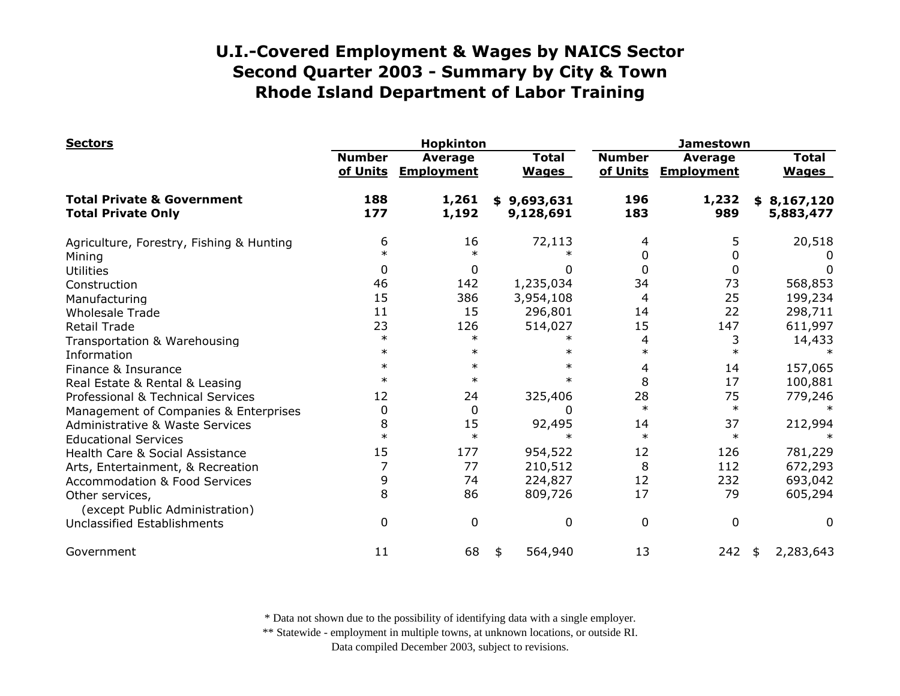| <b>Sectors</b>                                                     |                           | <b>Hopkinton</b>                    |                              |                           | <b>Jamestown</b>                    |                              |  |  |
|--------------------------------------------------------------------|---------------------------|-------------------------------------|------------------------------|---------------------------|-------------------------------------|------------------------------|--|--|
|                                                                    | <b>Number</b><br>of Units | <b>Average</b><br><b>Employment</b> | <b>Total</b><br><b>Wages</b> | <b>Number</b><br>of Units | <b>Average</b><br><b>Employment</b> | <b>Total</b><br><b>Wages</b> |  |  |
| <b>Total Private &amp; Government</b><br><b>Total Private Only</b> | 188<br>177                | 1,261<br>1,192                      | \$9,693,631<br>9,128,691     | 196<br>183                | 1,232<br>989                        | \$8,167,120<br>5,883,477     |  |  |
| Agriculture, Forestry, Fishing & Hunting                           | 6                         | 16                                  | 72,113                       | 4                         | 5                                   | 20,518                       |  |  |
| Mining                                                             | $\ast$                    | $\ast$                              |                              | 0                         | 0                                   |                              |  |  |
| <b>Utilities</b>                                                   | 0                         | 0                                   |                              | 0<br>0                    | 0                                   | 0                            |  |  |
| Construction                                                       | 46                        | 142                                 | 1,235,034                    | 34                        | 73                                  | 568,853                      |  |  |
| Manufacturing                                                      | 15                        | 386                                 | 3,954,108                    | 4                         | 25                                  | 199,234                      |  |  |
| <b>Wholesale Trade</b>                                             | 11                        | 15                                  | 296,801                      | 14                        | 22                                  | 298,711                      |  |  |
| <b>Retail Trade</b>                                                | 23                        | 126                                 | 514,027                      | 15                        | 147                                 | 611,997                      |  |  |
| Transportation & Warehousing                                       | $\ast$                    | $\ast$                              |                              | 4                         | 3                                   | 14,433                       |  |  |
| Information                                                        | $\ast$                    | $\ast$                              |                              | $\ast$<br>$\ast$          | $\ast$                              |                              |  |  |
| Finance & Insurance                                                | $\ast$                    | $\ast$                              |                              | $^\ast$<br>4              | 14                                  | 157,065                      |  |  |
| Real Estate & Rental & Leasing                                     | $\ast$                    | $\ast$                              |                              | 8<br>$\ast$               | 17                                  | 100,881                      |  |  |
| Professional & Technical Services                                  | 12                        | 24                                  | 325,406                      | 28                        | 75                                  | 779,246                      |  |  |
| Management of Companies & Enterprises                              | 0                         | 0                                   |                              | $\ast$<br>$\Omega$        | $\ast$                              |                              |  |  |
| Administrative & Waste Services                                    | 8                         | 15                                  | 92,495                       | 14                        | 37                                  | 212,994                      |  |  |
| <b>Educational Services</b>                                        | $\ast$                    | $\ast$                              |                              | $\ast$                    | $\ast$                              |                              |  |  |
| Health Care & Social Assistance                                    | 15                        | 177                                 | 954,522                      | 12                        | 126                                 | 781,229                      |  |  |
| Arts, Entertainment, & Recreation                                  |                           | 77                                  | 210,512                      | 8                         | 112                                 | 672,293                      |  |  |
| <b>Accommodation &amp; Food Services</b>                           | 9                         | 74                                  | 224,827                      | 12                        | 232                                 | 693,042                      |  |  |
| Other services,<br>(except Public Administration)                  | 8                         | 86                                  | 809,726                      | 17                        | 79                                  | 605,294                      |  |  |
| <b>Unclassified Establishments</b>                                 | 0                         | 0                                   |                              | $\mathbf{0}$<br>0         | 0                                   | $\Omega$                     |  |  |
| Government                                                         | 11                        | 68                                  | 564,940<br>\$                | 13                        | 242                                 | 2,283,643<br>\$              |  |  |

\* Data not shown due to the possibility of identifying data with a single employer.

\*\* Statewide - employment in multiple towns, at unknown locations, or outside RI.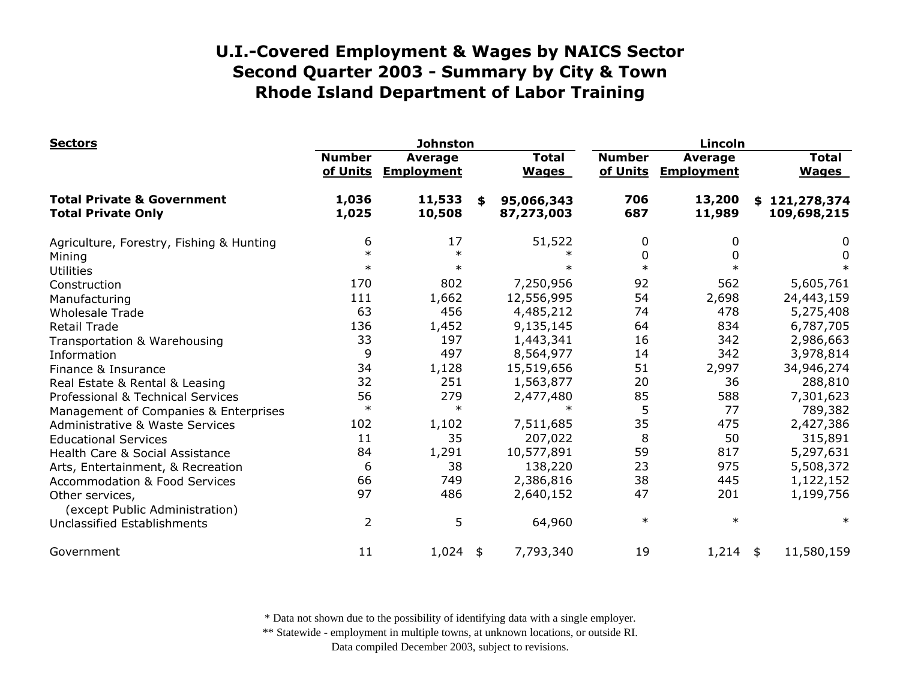| <b>Sectors</b>                                                     | <b>Johnston</b>           |                              |    |                              | Lincoln                   |                                     |     |                              |
|--------------------------------------------------------------------|---------------------------|------------------------------|----|------------------------------|---------------------------|-------------------------------------|-----|------------------------------|
|                                                                    | <b>Number</b><br>of Units | Average<br><b>Employment</b> |    | <b>Total</b><br><b>Wages</b> | <b>Number</b><br>of Units | <b>Average</b><br><b>Employment</b> |     | <b>Total</b><br><b>Wages</b> |
| <b>Total Private &amp; Government</b><br><b>Total Private Only</b> | 1,036<br>1,025            | 11,533<br>10,508             | \$ | 95,066,343<br>87,273,003     | 706<br>687                | 13,200<br>11,989                    | SS. | 121,278,374<br>109,698,215   |
| Agriculture, Forestry, Fishing & Hunting                           | 6                         | 17                           |    | 51,522                       | 0                         | 0                                   |     | 0                            |
| Mining                                                             | $\ast$                    | $\ast$                       |    |                              | $\Omega$                  | 0                                   |     | 0                            |
| <b>Utilities</b>                                                   | $\ast$                    | $\ast$                       |    | $\ast$                       | $\ast$                    |                                     |     |                              |
| Construction                                                       | 170                       | 802                          |    | 7,250,956                    | 92                        | 562                                 |     | 5,605,761                    |
| Manufacturing                                                      | 111                       | 1,662                        |    | 12,556,995                   | 54                        | 2,698                               |     | 24,443,159                   |
| <b>Wholesale Trade</b>                                             | 63                        | 456                          |    | 4,485,212                    | 74                        | 478                                 |     | 5,275,408                    |
| <b>Retail Trade</b>                                                | 136                       | 1,452                        |    | 9,135,145                    | 64                        | 834                                 |     | 6,787,705                    |
| Transportation & Warehousing                                       | 33                        | 197                          |    | 1,443,341                    | 16                        | 342                                 |     | 2,986,663                    |
| Information                                                        | 9                         | 497                          |    | 8,564,977                    | 14                        | 342                                 |     | 3,978,814                    |
| Finance & Insurance                                                | 34                        | 1,128                        |    | 15,519,656                   | 51                        | 2,997                               |     | 34,946,274                   |
| Real Estate & Rental & Leasing                                     | 32                        | 251                          |    | 1,563,877                    | 20                        | 36                                  |     | 288,810                      |
| Professional & Technical Services                                  | 56                        | 279                          |    | 2,477,480                    | 85                        | 588                                 |     | 7,301,623                    |
| Management of Companies & Enterprises                              | $\ast$                    | $\ast$                       |    | $\ast$                       | 5                         | 77                                  |     | 789,382                      |
| <b>Administrative &amp; Waste Services</b>                         | 102                       | 1,102                        |    | 7,511,685                    | 35                        | 475                                 |     | 2,427,386                    |
| <b>Educational Services</b>                                        | 11                        | 35                           |    | 207,022                      | 8                         | 50                                  |     | 315,891                      |
| Health Care & Social Assistance                                    | 84                        | 1,291                        |    | 10,577,891                   | 59                        | 817                                 |     | 5,297,631                    |
| Arts, Entertainment, & Recreation                                  | 6                         | 38                           |    | 138,220                      | 23                        | 975                                 |     | 5,508,372                    |
| <b>Accommodation &amp; Food Services</b>                           | 66                        | 749                          |    | 2,386,816                    | 38                        | 445                                 |     | 1,122,152                    |
| Other services,<br>(except Public Administration)                  | 97                        | 486                          |    | 2,640,152                    | 47                        | 201                                 |     | 1,199,756                    |
| Unclassified Establishments                                        | $\overline{2}$            | 5                            |    | 64,960                       | $\ast$                    | $\ast$                              |     | $\ast$                       |
| Government                                                         | 11                        | $1,024$ \$                   |    | 7,793,340                    | 19                        | $1,214$ \$                          |     | 11,580,159                   |

\* Data not shown due to the possibility of identifying data with a single employer.

\*\* Statewide - employment in multiple towns, at unknown locations, or outside RI.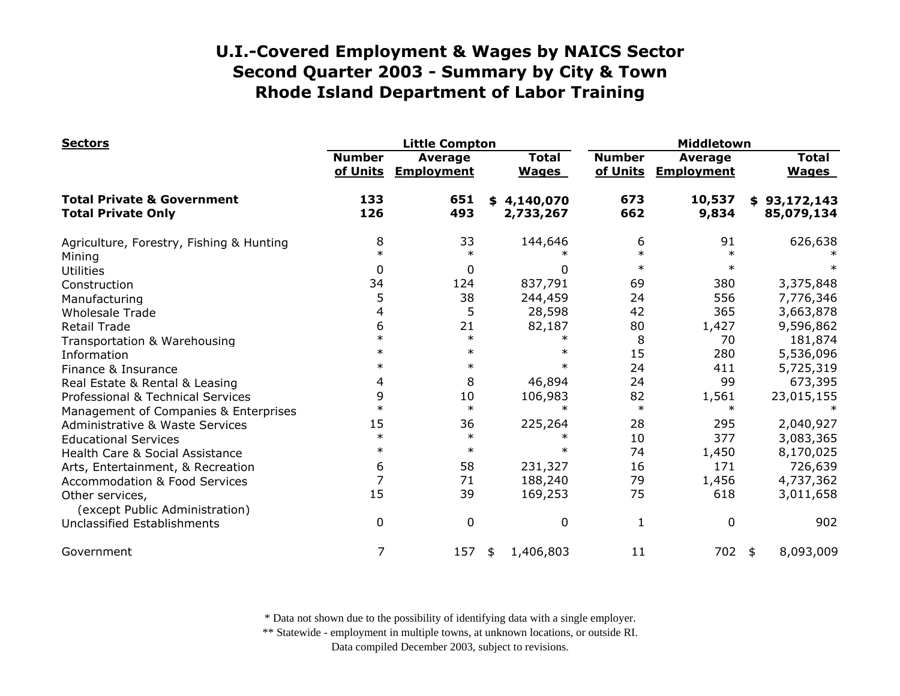| <b>Sectors</b>                                                     |                           | <b>Little Compton</b>               |                              |                           | Middletown                          |  |                              |  |
|--------------------------------------------------------------------|---------------------------|-------------------------------------|------------------------------|---------------------------|-------------------------------------|--|------------------------------|--|
|                                                                    | <b>Number</b><br>of Units | <b>Average</b><br><b>Employment</b> | <b>Total</b><br><b>Wages</b> | <b>Number</b><br>of Units | <b>Average</b><br><b>Employment</b> |  | <b>Total</b><br><b>Wages</b> |  |
| <b>Total Private &amp; Government</b><br><b>Total Private Only</b> | 133<br>126                | 651<br>493                          | \$4,140,070<br>2,733,267     | 673<br>662                | 10,537<br>9,834                     |  | \$93,172,143<br>85,079,134   |  |
| Agriculture, Forestry, Fishing & Hunting                           | 8                         | 33                                  | 144,646                      | 6                         | 91                                  |  | 626,638                      |  |
| Mining                                                             | $\ast$                    | $\ast$                              |                              | $\ast$                    | $\ast$                              |  |                              |  |
| <b>Utilities</b>                                                   | 0                         | 0                                   | 0                            | $\ast$                    | $\ast$                              |  |                              |  |
| Construction                                                       | 34                        | 124                                 | 837,791                      | 69                        | 380                                 |  | 3,375,848                    |  |
| Manufacturing                                                      | 5                         | 38                                  | 244,459                      | 24                        | 556                                 |  | 7,776,346                    |  |
| <b>Wholesale Trade</b>                                             | 4                         | 5                                   | 28,598                       | 42                        | 365                                 |  | 3,663,878                    |  |
| Retail Trade                                                       | 6                         | 21                                  | 82,187                       | 80                        | 1,427                               |  | 9,596,862                    |  |
| Transportation & Warehousing                                       | $\ast$                    | $\ast$                              | $\ast$                       | 8                         | 70                                  |  | 181,874                      |  |
| Information                                                        | $\ast$                    | $\ast$                              | $\ast$                       | 15                        | 280                                 |  | 5,536,096                    |  |
| Finance & Insurance                                                | $\ast$                    | $\ast$                              | $\ast$                       | 24                        | 411                                 |  | 5,725,319                    |  |
| Real Estate & Rental & Leasing                                     | 4                         | 8                                   | 46,894                       | 24                        | 99                                  |  | 673,395                      |  |
| Professional & Technical Services                                  | 9                         | 10                                  | 106,983                      | 82                        | 1,561                               |  | 23,015,155                   |  |
| Management of Companies & Enterprises                              | $\ast$                    | $\ast$                              | $\ast$                       | $\ast$                    | $\ast$                              |  |                              |  |
| <b>Administrative &amp; Waste Services</b>                         | 15                        | 36                                  | 225,264                      | 28                        | 295                                 |  | 2,040,927                    |  |
| <b>Educational Services</b>                                        | $\ast$                    | $\ast$                              | $\ast$                       | 10                        | 377                                 |  | 3,083,365                    |  |
| Health Care & Social Assistance                                    | $\ast$                    | $\ast$                              | $\ast$                       | 74                        | 1,450                               |  | 8,170,025                    |  |
| Arts, Entertainment, & Recreation                                  | 6                         | 58                                  | 231,327                      | 16                        | 171                                 |  | 726,639                      |  |
| <b>Accommodation &amp; Food Services</b>                           | 7                         | 71                                  | 188,240                      | 79                        | 1,456                               |  | 4,737,362                    |  |
| Other services,<br>(except Public Administration)                  | 15                        | 39                                  | 169,253                      | 75                        | 618                                 |  | 3,011,658                    |  |
| <b>Unclassified Establishments</b>                                 | 0                         | $\mathbf 0$                         | $\mathbf 0$                  | 1                         | 0                                   |  | 902                          |  |
| Government                                                         | 7                         | 157                                 | 1,406,803<br>\$              | 11                        | 702 \$                              |  | 8,093,009                    |  |

\* Data not shown due to the possibility of identifying data with a single employer.

\*\* Statewide - employment in multiple towns, at unknown locations, or outside RI.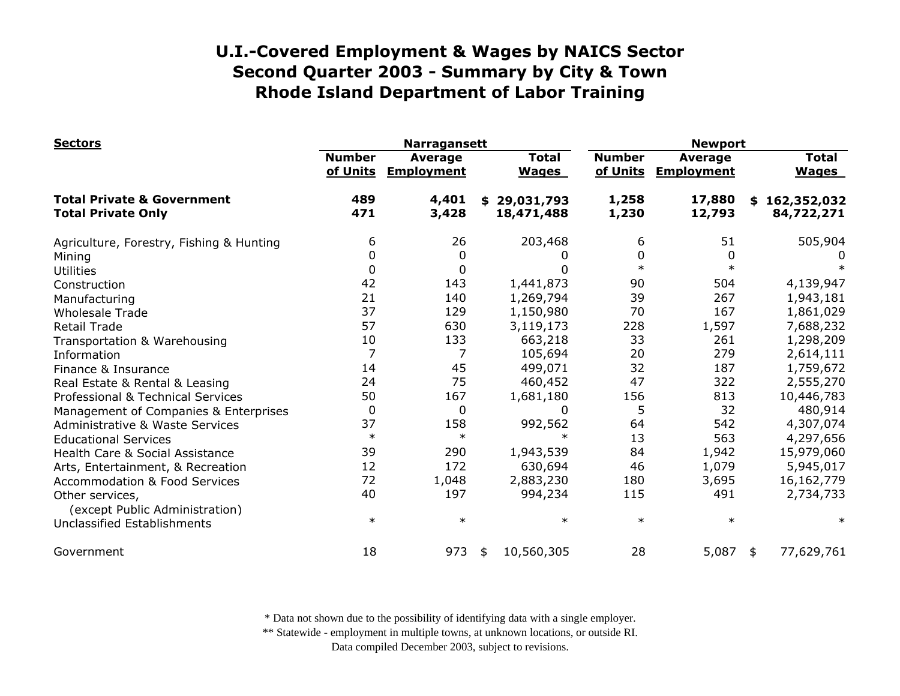| <b>Sectors</b>                                                     |                           | <b>Narragansett</b>                 |                              | <b>Newport</b>            |                              |                              |  |
|--------------------------------------------------------------------|---------------------------|-------------------------------------|------------------------------|---------------------------|------------------------------|------------------------------|--|
|                                                                    | <b>Number</b><br>of Units | <b>Average</b><br><b>Employment</b> | <b>Total</b><br><b>Wages</b> | <b>Number</b><br>of Units | Average<br><b>Employment</b> | <b>Total</b><br><b>Wages</b> |  |
| <b>Total Private &amp; Government</b><br><b>Total Private Only</b> | 489<br>471                | 4,401<br>3,428                      | \$29,031,793<br>18,471,488   | 1,258<br>1,230            | 17,880<br>12,793             | \$162,352,032<br>84,722,271  |  |
| Agriculture, Forestry, Fishing & Hunting                           | 6                         | 26                                  | 203,468                      | 6                         | 51                           | 505,904                      |  |
| Mining                                                             | 0                         | 0                                   |                              | 0                         | $\Omega$                     |                              |  |
| Utilities                                                          | 0                         | 0                                   | U                            | $\ast$                    | $\ast$                       |                              |  |
| Construction                                                       | 42                        | 143                                 | 1,441,873                    | 90                        | 504                          | 4,139,947                    |  |
| Manufacturing                                                      | 21                        | 140                                 | 1,269,794                    | 39                        | 267                          | 1,943,181                    |  |
| <b>Wholesale Trade</b>                                             | 37                        | 129                                 | 1,150,980                    | 70                        | 167                          | 1,861,029                    |  |
| <b>Retail Trade</b>                                                | 57                        | 630                                 | 3,119,173                    | 228                       | 1,597                        | 7,688,232                    |  |
| Transportation & Warehousing                                       | 10                        | 133                                 | 663,218                      | 33                        | 261                          | 1,298,209                    |  |
| Information                                                        | $\overline{7}$            | 7                                   | 105,694                      | 20                        | 279                          | 2,614,111                    |  |
| Finance & Insurance                                                | 14                        | 45                                  | 499,071                      | 32                        | 187                          | 1,759,672                    |  |
| Real Estate & Rental & Leasing                                     | 24                        | 75                                  | 460,452                      | 47                        | 322                          | 2,555,270                    |  |
| Professional & Technical Services                                  | 50                        | 167                                 | 1,681,180                    | 156                       | 813                          | 10,446,783                   |  |
| Management of Companies & Enterprises                              | 0                         | $\mathbf 0$                         | 0                            | 5                         | 32                           | 480,914                      |  |
| Administrative & Waste Services                                    | 37                        | 158                                 | 992,562                      | 64                        | 542                          | 4,307,074                    |  |
| <b>Educational Services</b>                                        | $\ast$                    | $\ast$                              | $\ast$                       | 13                        | 563                          | 4,297,656                    |  |
| Health Care & Social Assistance                                    | 39                        | 290                                 | 1,943,539                    | 84                        | 1,942                        | 15,979,060                   |  |
| Arts, Entertainment, & Recreation                                  | 12                        | 172                                 | 630,694                      | 46                        | 1,079                        | 5,945,017                    |  |
| <b>Accommodation &amp; Food Services</b>                           | 72                        | 1,048                               | 2,883,230                    | 180                       | 3,695                        | 16, 162, 779                 |  |
| Other services,<br>(except Public Administration)                  | 40                        | 197                                 | 994,234                      | 115                       | 491                          | 2,734,733                    |  |
| Unclassified Establishments                                        | $\ast$                    | $\ast$                              | $\ast$                       | $\ast$                    | $\ast$                       | $\ast$                       |  |
| Government                                                         | 18                        | 973                                 | 10,560,305<br>\$             | 28                        | 5,087                        | 77,629,761<br>\$             |  |

\* Data not shown due to the possibility of identifying data with a single employer.

\*\* Statewide - employment in multiple towns, at unknown locations, or outside RI.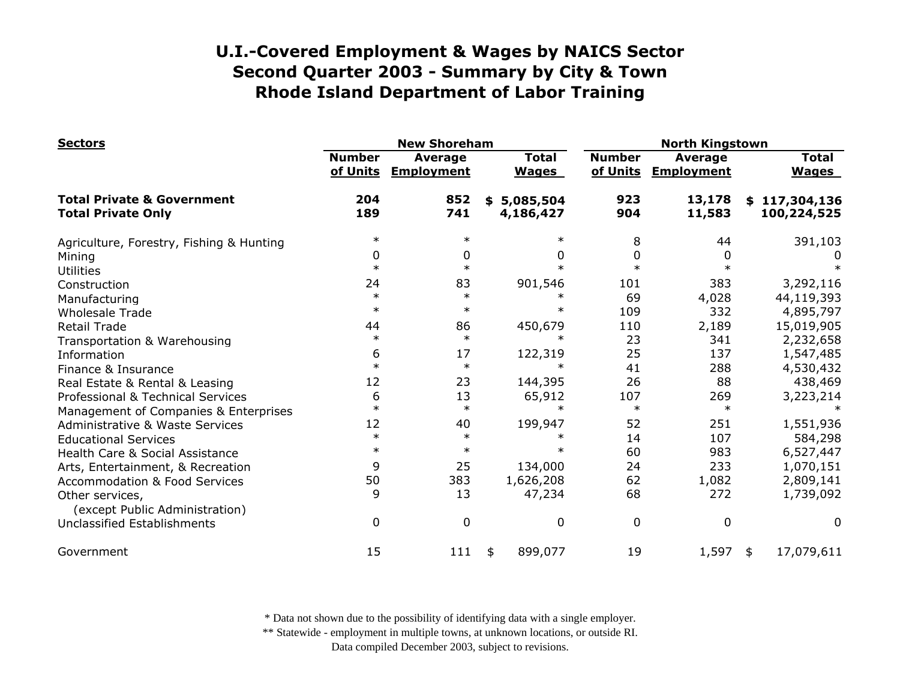| <b>Sectors</b>                                                     |                           | <b>New Shoreham</b>          |                              | <b>North Kingstown</b>    |                                     |                              |  |
|--------------------------------------------------------------------|---------------------------|------------------------------|------------------------------|---------------------------|-------------------------------------|------------------------------|--|
|                                                                    | <b>Number</b><br>of Units | Average<br><b>Employment</b> | <b>Total</b><br><b>Wages</b> | <b>Number</b><br>of Units | <b>Average</b><br><b>Employment</b> | <b>Total</b><br><b>Wages</b> |  |
| <b>Total Private &amp; Government</b><br><b>Total Private Only</b> | 204<br>189                | 852<br>741                   | \$5,085,504<br>4,186,427     | 923<br>904                | 13,178<br>11,583                    | \$117,304,136<br>100,224,525 |  |
| Agriculture, Forestry, Fishing & Hunting                           | $\ast$                    | $\ast$                       |                              | 8                         | 44                                  | 391,103                      |  |
| Mining                                                             | 0                         | 0                            | 0                            | 0                         |                                     |                              |  |
| <b>Utilities</b>                                                   | $\ast$                    | $\ast$                       |                              | $\ast$                    |                                     |                              |  |
| Construction                                                       | 24                        | 83                           | 901,546                      | 101                       | 383                                 | 3,292,116                    |  |
| Manufacturing                                                      | $\ast$                    | $\ast$                       |                              | 69                        | 4,028                               | 44,119,393                   |  |
| <b>Wholesale Trade</b>                                             | $\ast$                    | $\ast$                       |                              | 109                       | 332                                 | 4,895,797                    |  |
| <b>Retail Trade</b>                                                | 44                        | 86                           | 450,679                      | 110                       | 2,189                               | 15,019,905                   |  |
| Transportation & Warehousing                                       | $\ast$                    | $\ast$                       | $\ast$                       | 23                        | 341                                 | 2,232,658                    |  |
| Information                                                        | 6                         | 17                           | 122,319                      | 25                        | 137                                 | 1,547,485                    |  |
| Finance & Insurance                                                | $\ast$                    | $\ast$                       |                              | 41                        | 288                                 | 4,530,432                    |  |
| Real Estate & Rental & Leasing                                     | 12                        | 23                           | 144,395                      | 26                        | 88                                  | 438,469                      |  |
| Professional & Technical Services                                  | 6                         | 13                           | 65,912                       | 107                       | 269                                 | 3,223,214                    |  |
| Management of Companies & Enterprises                              | $\ast$                    | $\ast$                       | $\ast$                       | $\ast$                    | $\ast$                              |                              |  |
| <b>Administrative &amp; Waste Services</b>                         | 12                        | 40                           | 199,947                      | 52                        | 251                                 | 1,551,936                    |  |
| <b>Educational Services</b>                                        | $\ast$                    | $\ast$                       |                              | 14                        | 107                                 | 584,298                      |  |
| Health Care & Social Assistance                                    | $\ast$                    | $\ast$                       | $\ast$                       | 60                        | 983                                 | 6,527,447                    |  |
| Arts, Entertainment, & Recreation                                  | 9                         | 25                           | 134,000                      | 24                        | 233                                 | 1,070,151                    |  |
| <b>Accommodation &amp; Food Services</b>                           | 50                        | 383                          | 1,626,208                    | 62                        | 1,082                               | 2,809,141                    |  |
| Other services,                                                    | 9                         | 13                           | 47,234                       | 68                        | 272                                 | 1,739,092                    |  |
| (except Public Administration)                                     |                           |                              |                              |                           |                                     |                              |  |
| Unclassified Establishments                                        | 0                         | $\Omega$                     | $\Omega$                     | 0                         | $\mathbf 0$                         | 0                            |  |
| Government                                                         | 15                        | 111                          | 899,077<br>\$                | 19                        | 1,597                               | 17,079,611<br>\$             |  |

\* Data not shown due to the possibility of identifying data with a single employer.

\*\* Statewide - employment in multiple towns, at unknown locations, or outside RI.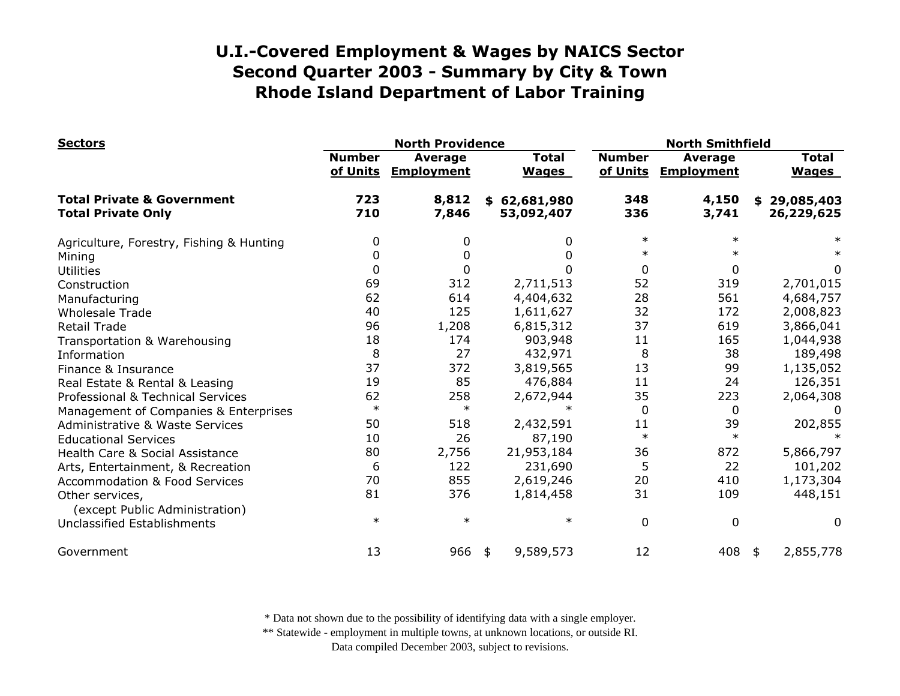| <b>Sectors</b>                                                     | <b>North Providence</b>                                   |                |                              |                           | <b>North Smithfield</b>             |                              |  |
|--------------------------------------------------------------------|-----------------------------------------------------------|----------------|------------------------------|---------------------------|-------------------------------------|------------------------------|--|
|                                                                    | <b>Number</b><br>Average<br>of Units<br><b>Employment</b> |                | <b>Total</b><br><b>Wages</b> | <b>Number</b><br>of Units | <b>Average</b><br><b>Employment</b> | <b>Total</b><br><b>Wages</b> |  |
| <b>Total Private &amp; Government</b><br><b>Total Private Only</b> | 723<br>710                                                | 8,812<br>7,846 | \$62,681,980<br>53,092,407   | 348<br>336                | 4,150<br>3,741                      | \$29,085,403<br>26,229,625   |  |
| Agriculture, Forestry, Fishing & Hunting                           | 0                                                         | 0              | 0                            | $\ast$                    | $\ast$                              |                              |  |
| Mining                                                             | 0                                                         | 0              | 0                            | $\ast$                    |                                     |                              |  |
| <b>Utilities</b>                                                   | 0                                                         |                | 0                            | 0                         | 0                                   | 0                            |  |
| Construction                                                       | 69                                                        | 312            | 2,711,513                    | 52                        | 319                                 | 2,701,015                    |  |
| Manufacturing                                                      | 62                                                        | 614            | 4,404,632                    | 28                        | 561                                 | 4,684,757                    |  |
| <b>Wholesale Trade</b>                                             | 40                                                        | 125            | 1,611,627                    | 32                        | 172                                 | 2,008,823                    |  |
| <b>Retail Trade</b>                                                | 96                                                        | 1,208          | 6,815,312                    | 37                        | 619                                 | 3,866,041                    |  |
| Transportation & Warehousing                                       | 18                                                        | 174            | 903,948                      | 11                        | 165                                 | 1,044,938                    |  |
| Information                                                        | 8                                                         | 27             | 432,971                      | 8                         | 38                                  | 189,498                      |  |
| Finance & Insurance                                                | 37                                                        | 372            | 3,819,565                    | 13                        | 99                                  | 1,135,052                    |  |
| Real Estate & Rental & Leasing                                     | 19                                                        | 85             | 476,884                      | 11                        | 24                                  | 126,351                      |  |
| Professional & Technical Services                                  | 62                                                        | 258            | 2,672,944                    | 35                        | 223                                 | 2,064,308                    |  |
| Management of Companies & Enterprises                              | $\ast$                                                    | $\ast$         | $\ast$                       | $\mathbf 0$               | 0                                   | $\Omega$                     |  |
| <b>Administrative &amp; Waste Services</b>                         | 50                                                        | 518            | 2,432,591                    | 11                        | 39                                  | 202,855                      |  |
| <b>Educational Services</b>                                        | 10                                                        | 26             | 87,190                       | $\ast$                    | $\ast$                              |                              |  |
| Health Care & Social Assistance                                    | 80                                                        | 2,756          | 21,953,184                   | 36                        | 872                                 | 5,866,797                    |  |
| Arts, Entertainment, & Recreation                                  | 6                                                         | 122            | 231,690                      | 5                         | 22                                  | 101,202                      |  |
| <b>Accommodation &amp; Food Services</b>                           | 70                                                        | 855            | 2,619,246                    | 20                        | 410                                 | 1,173,304                    |  |
| Other services,                                                    | 81                                                        | 376            | 1,814,458                    | 31                        | 109                                 | 448,151                      |  |
| (except Public Administration)<br>Unclassified Establishments      | $\ast$                                                    | $\ast$         | $\ast$                       | $\mathbf 0$               | $\mathbf 0$                         | 0                            |  |
| Government                                                         | 13                                                        | 966            | 9,589,573<br>\$              | 12                        | 408                                 | 2,855,778<br>\$              |  |

\* Data not shown due to the possibility of identifying data with a single employer.

\*\* Statewide - employment in multiple towns, at unknown locations, or outside RI.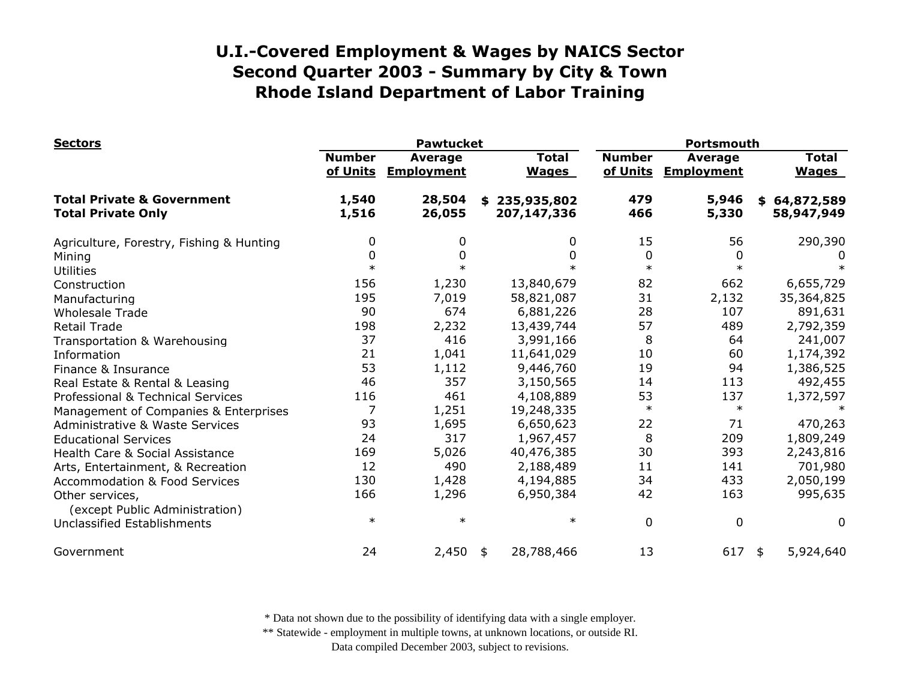| <b>Sectors</b>                                                     | <b>Pawtucket</b>          |                                     |                              | Portsmouth                |                                     |                              |
|--------------------------------------------------------------------|---------------------------|-------------------------------------|------------------------------|---------------------------|-------------------------------------|------------------------------|
|                                                                    | <b>Number</b><br>of Units | <b>Average</b><br><b>Employment</b> | <b>Total</b><br><b>Wages</b> | <b>Number</b><br>of Units | <b>Average</b><br><b>Employment</b> | <b>Total</b><br><b>Wages</b> |
| <b>Total Private &amp; Government</b><br><b>Total Private Only</b> | 1,540<br>1,516            | 28,504<br>26,055                    | \$235,935,802<br>207,147,336 | 479<br>466                | 5,946<br>5,330                      | \$64,872,589<br>58,947,949   |
| Agriculture, Forestry, Fishing & Hunting                           | 0                         | 0                                   | 0                            | 15                        | 56                                  | 290,390                      |
| Mining                                                             | 0                         | 0                                   | 0                            | 0                         | 0                                   |                              |
| <b>Utilities</b>                                                   | $\ast$                    | $\ast$                              | $\ast$                       | $\ast$                    | $\ast$                              |                              |
| Construction                                                       | 156                       | 1,230                               | 13,840,679                   | 82                        | 662                                 | 6,655,729                    |
| Manufacturing                                                      | 195                       | 7,019                               | 58,821,087                   | 31                        | 2,132                               | 35,364,825                   |
| <b>Wholesale Trade</b>                                             | 90                        | 674                                 | 6,881,226                    | 28                        | 107                                 | 891,631                      |
| <b>Retail Trade</b>                                                | 198                       | 2,232                               | 13,439,744                   | 57                        | 489                                 | 2,792,359                    |
| Transportation & Warehousing                                       | 37                        | 416                                 | 3,991,166                    | 8                         | 64                                  | 241,007                      |
| Information                                                        | 21                        | 1,041                               | 11,641,029                   | 10                        | 60                                  | 1,174,392                    |
| Finance & Insurance                                                | 53                        | 1,112                               | 9,446,760                    | 19                        | 94                                  | 1,386,525                    |
| Real Estate & Rental & Leasing                                     | 46                        | 357                                 | 3,150,565                    | 14                        | 113                                 | 492,455                      |
| Professional & Technical Services                                  | 116                       | 461                                 | 4,108,889                    | 53                        | 137                                 | 1,372,597                    |
| Management of Companies & Enterprises                              | 7                         | 1,251                               | 19,248,335                   | $\ast$                    | $\ast$                              |                              |
| <b>Administrative &amp; Waste Services</b>                         | 93                        | 1,695                               | 6,650,623                    | 22                        | 71                                  | 470,263                      |
| <b>Educational Services</b>                                        | 24                        | 317                                 | 1,967,457                    | 8                         | 209                                 | 1,809,249                    |
| Health Care & Social Assistance                                    | 169                       | 5,026                               | 40,476,385                   | 30                        | 393                                 | 2,243,816                    |
| Arts, Entertainment, & Recreation                                  | 12                        | 490                                 | 2,188,489                    | 11                        | 141                                 | 701,980                      |
| <b>Accommodation &amp; Food Services</b>                           | 130                       | 1,428                               | 4,194,885                    | 34                        | 433                                 | 2,050,199                    |
| Other services,<br>(except Public Administration)                  | 166                       | 1,296                               | 6,950,384                    | 42                        | 163                                 | 995,635                      |
| Unclassified Establishments                                        | $\ast$                    | $\ast$                              | $\ast$                       | 0                         | $\mathbf 0$                         | 0                            |
| Government                                                         | 24                        | 2,450                               | 28,788,466<br>\$             | 13                        | 617                                 | 5,924,640<br>\$              |

\* Data not shown due to the possibility of identifying data with a single employer.

\*\* Statewide - employment in multiple towns, at unknown locations, or outside RI.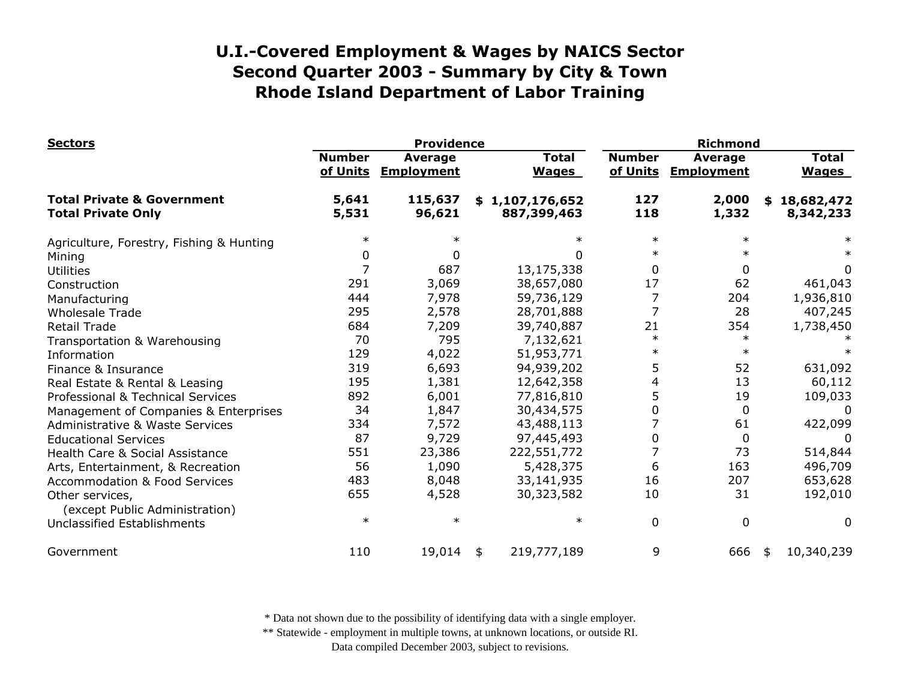| <b>Sectors</b>                                                     | <b>Providence</b>         |                                     |                                |           | <b>Richmond</b>           |                                     |                              |  |
|--------------------------------------------------------------------|---------------------------|-------------------------------------|--------------------------------|-----------|---------------------------|-------------------------------------|------------------------------|--|
|                                                                    | <b>Number</b><br>of Units | <b>Average</b><br><b>Employment</b> | <b>Total</b><br><b>Wages</b>   |           | <b>Number</b><br>of Units | <b>Average</b><br><b>Employment</b> | <b>Total</b><br><b>Wages</b> |  |
| <b>Total Private &amp; Government</b><br><b>Total Private Only</b> | 5,641<br>5,531            | 115,637<br>96,621                   | \$1,107,176,652<br>887,399,463 |           | 127<br>118                | 2,000<br>1,332                      | \$18,682,472<br>8,342,233    |  |
| Agriculture, Forestry, Fishing & Hunting                           | $\ast$                    |                                     |                                | $\ast$    | $\ast$                    | $\ast$                              |                              |  |
| Mining                                                             | <sup>0</sup>              | 0                                   |                                |           | $\ast$                    |                                     |                              |  |
| <b>Utilities</b>                                                   |                           | 687                                 | 13,175,338                     |           | 0                         | 0                                   | 0                            |  |
| Construction                                                       | 291                       | 3,069                               | 38,657,080                     |           | 17                        | 62                                  | 461,043                      |  |
| Manufacturing                                                      | 444                       | 7,978                               | 59,736,129                     |           | 7                         | 204                                 | 1,936,810                    |  |
| <b>Wholesale Trade</b>                                             | 295                       | 2,578                               | 28,701,888                     |           | 7                         | 28                                  | 407,245                      |  |
| Retail Trade                                                       | 684                       | 7,209                               | 39,740,887                     |           | 21                        | 354                                 | 1,738,450                    |  |
| Transportation & Warehousing                                       | 70                        | 795                                 | 7,132,621                      |           | $\ast$                    | ∗                                   |                              |  |
| Information                                                        | 129                       | 4,022                               | 51,953,771                     |           |                           |                                     |                              |  |
| Finance & Insurance                                                | 319                       | 6,693                               | 94,939,202                     |           | 5                         | 52                                  | 631,092                      |  |
| Real Estate & Rental & Leasing                                     | 195                       | 1,381                               | 12,642,358                     |           | 4                         | 13                                  | 60,112                       |  |
| Professional & Technical Services                                  | 892                       | 6,001                               | 77,816,810                     |           | 5                         | 19                                  | 109,033                      |  |
| Management of Companies & Enterprises                              | 34                        | 1,847                               | 30,434,575                     |           | 0                         | $\Omega$                            | 0                            |  |
| <b>Administrative &amp; Waste Services</b>                         | 334                       | 7,572                               | 43,488,113                     |           |                           | 61                                  | 422,099                      |  |
| <b>Educational Services</b>                                        | 87                        | 9,729                               | 97,445,493                     |           | 0                         | 0                                   |                              |  |
| Health Care & Social Assistance                                    | 551                       | 23,386                              | 222,551,772                    |           |                           | 73                                  | 514,844                      |  |
| Arts, Entertainment, & Recreation                                  | 56                        | 1,090                               |                                | 5,428,375 | 6                         | 163                                 | 496,709                      |  |
| <b>Accommodation &amp; Food Services</b>                           | 483                       | 8,048                               | 33,141,935                     |           | 16                        | 207                                 | 653,628                      |  |
| Other services,<br>(except Public Administration)                  | 655                       | 4,528                               | 30,323,582                     |           | 10                        | 31                                  | 192,010                      |  |
| Unclassified Establishments                                        | $\ast$                    | $\ast$                              |                                | $\ast$    | $\overline{0}$            | $\overline{0}$                      | 0                            |  |
| Government                                                         | 110                       | 19,014                              | 219,777,189<br>\$              |           | 9                         | 666                                 | 10,340,239<br>\$             |  |

\* Data not shown due to the possibility of identifying data with a single employer.

\*\* Statewide - employment in multiple towns, at unknown locations, or outside RI.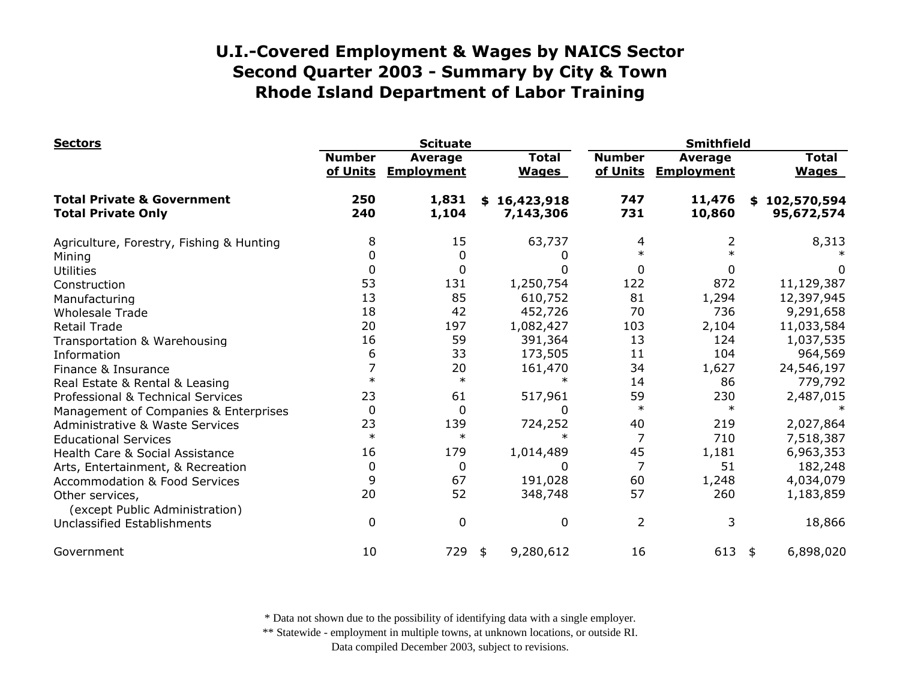| <b>Sectors</b>                                                     | <b>Scituate</b>           |                                     |                               | <b>Smithfield</b>         |                                     |     |                              |
|--------------------------------------------------------------------|---------------------------|-------------------------------------|-------------------------------|---------------------------|-------------------------------------|-----|------------------------------|
|                                                                    | <b>Number</b><br>of Units | <b>Average</b><br><b>Employment</b> | <b>Total</b><br><b>Wages</b>  | <b>Number</b><br>of Units | <b>Average</b><br><b>Employment</b> |     | <b>Total</b><br><b>Wages</b> |
| <b>Total Private &amp; Government</b><br><b>Total Private Only</b> | 250<br>240                | 1,831<br>1,104                      | 16,423,918<br>\$<br>7,143,306 | 747<br>731                | 11,476<br>10,860                    |     | \$102,570,594<br>95,672,574  |
| Agriculture, Forestry, Fishing & Hunting                           | 8                         | 15                                  | 63,737                        | 4                         |                                     |     | 8,313                        |
| Mining                                                             | 0                         | 0                                   |                               | $\ast$                    |                                     |     |                              |
| <b>Utilities</b>                                                   | 0                         | 0                                   | 0                             | 0                         |                                     |     | 0                            |
| Construction                                                       | 53                        | 131                                 | 1,250,754                     | 122                       | 872                                 |     | 11,129,387                   |
| Manufacturing                                                      | 13                        | 85                                  | 610,752                       | 81                        | 1,294                               |     | 12,397,945                   |
| <b>Wholesale Trade</b>                                             | 18                        | 42                                  | 452,726                       | 70                        | 736                                 |     | 9,291,658                    |
| <b>Retail Trade</b>                                                | 20                        | 197                                 | 1,082,427                     | 103                       | 2,104                               |     | 11,033,584                   |
| Transportation & Warehousing                                       | 16                        | 59                                  | 391,364                       | 13                        | 124                                 |     | 1,037,535                    |
| Information                                                        | 6                         | 33                                  | 173,505                       | 11                        | 104                                 |     | 964,569                      |
| Finance & Insurance                                                | 7                         | 20                                  | 161,470                       | 34                        | 1,627                               |     | 24,546,197                   |
| Real Estate & Rental & Leasing                                     | $\ast$                    | $\ast$                              |                               | 14                        | 86                                  |     | 779,792                      |
| Professional & Technical Services                                  | 23                        | 61                                  | 517,961                       | 59                        | 230                                 |     | 2,487,015                    |
| Management of Companies & Enterprises                              | 0                         | 0                                   | 0                             | $\ast$                    | $\ast$                              |     |                              |
| <b>Administrative &amp; Waste Services</b>                         | 23                        | 139                                 | 724,252                       | 40                        | 219                                 |     | 2,027,864                    |
| <b>Educational Services</b>                                        | $\ast$                    | $\ast$                              |                               | 7                         | 710                                 |     | 7,518,387                    |
| Health Care & Social Assistance                                    | 16                        | 179                                 | 1,014,489                     | 45                        | 1,181                               |     | 6,963,353                    |
| Arts, Entertainment, & Recreation                                  | 0                         | 0                                   | 0                             | $\overline{7}$            | 51                                  |     | 182,248                      |
| <b>Accommodation &amp; Food Services</b>                           | 9                         | 67                                  | 191,028                       | 60                        | 1,248                               |     | 4,034,079                    |
| Other services,<br>(except Public Administration)                  | 20                        | 52                                  | 348,748                       | 57                        | 260                                 |     | 1,183,859                    |
| Unclassified Establishments                                        | $\Omega$                  | $\mathbf 0$                         | 0                             | $\overline{2}$            | 3                                   |     | 18,866                       |
| Government                                                         | 10                        | 729                                 | 9,280,612<br>\$               | 16                        | 613                                 | -\$ | 6,898,020                    |

\* Data not shown due to the possibility of identifying data with a single employer.

\*\* Statewide - employment in multiple towns, at unknown locations, or outside RI.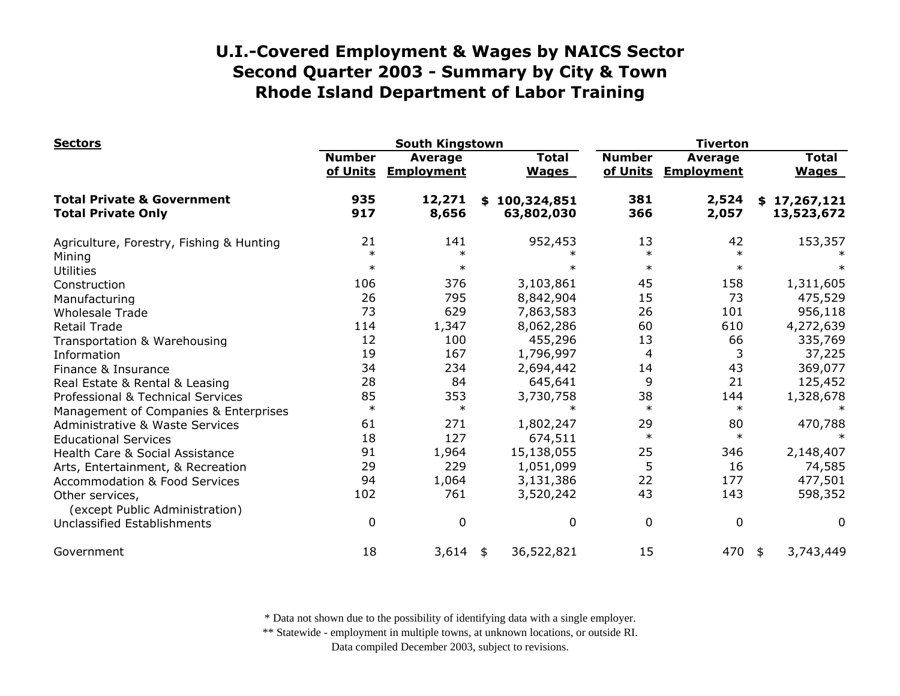| <b>Sectors</b>                                                     | <b>South Kingstown</b>    |                                     |                              |                           | <b>Tiverton</b>                     |                              |  |
|--------------------------------------------------------------------|---------------------------|-------------------------------------|------------------------------|---------------------------|-------------------------------------|------------------------------|--|
|                                                                    | <b>Number</b><br>of Units | <b>Average</b><br><b>Employment</b> | <b>Total</b><br><b>Wages</b> | <b>Number</b><br>of Units | <b>Average</b><br><b>Employment</b> | <b>Total</b><br><b>Wages</b> |  |
| <b>Total Private &amp; Government</b><br><b>Total Private Only</b> | 935<br>917                | 12,271<br>8,656                     | \$100,324,851<br>63,802,030  | 381<br>366                | 2,524<br>2,057                      | \$17,267,121<br>13,523,672   |  |
| Agriculture, Forestry, Fishing & Hunting                           | 21                        | 141                                 | 952,453                      | 13                        | 42                                  | 153,357                      |  |
| Mining                                                             | $\ast$                    | $\ast$                              |                              | $\ast$                    | $\ast$                              |                              |  |
| <b>Utilities</b>                                                   | $\ast$                    | $\ast$                              |                              | $\ast$                    | $\ast$                              |                              |  |
| Construction                                                       | 106                       | 376                                 | 3,103,861                    | 45                        | 158                                 | 1,311,605                    |  |
| Manufacturing                                                      | 26                        | 795                                 | 8,842,904                    | 15                        | 73                                  | 475,529                      |  |
| <b>Wholesale Trade</b>                                             | 73                        | 629                                 | 7,863,583                    | 26                        | 101                                 | 956,118                      |  |
| <b>Retail Trade</b>                                                | 114                       | 1,347                               | 8,062,286                    | 60                        | 610                                 | 4,272,639                    |  |
| Transportation & Warehousing                                       | 12                        | 100                                 | 455,296                      | 13                        | 66                                  | 335,769                      |  |
| Information                                                        | 19                        | 167                                 | 1,796,997                    | 4                         | 3                                   | 37,225                       |  |
| Finance & Insurance                                                | 34                        | 234                                 | 2,694,442                    | 14                        | 43                                  | 369,077                      |  |
| Real Estate & Rental & Leasing                                     | 28                        | 84                                  | 645,641                      | 9                         | 21                                  | 125,452                      |  |
| Professional & Technical Services                                  | 85                        | 353                                 | 3,730,758                    | 38                        | 144                                 | 1,328,678                    |  |
| Management of Companies & Enterprises                              | $\ast$                    | $\ast$                              | $\ast$                       | $\ast$                    | $\ast$                              |                              |  |
| <b>Administrative &amp; Waste Services</b>                         | 61                        | 271                                 | 1,802,247                    | 29                        | 80                                  | 470,788                      |  |
| <b>Educational Services</b>                                        | 18                        | 127                                 | 674,511                      | $\ast$                    | $\ast$                              |                              |  |
| Health Care & Social Assistance                                    | 91                        | 1,964                               | 15,138,055                   | 25                        | 346                                 | 2,148,407                    |  |
| Arts, Entertainment, & Recreation                                  | 29                        | 229                                 | 1,051,099                    | 5                         | 16                                  | 74,585                       |  |
| <b>Accommodation &amp; Food Services</b>                           | 94                        | 1,064                               | 3,131,386                    | 22                        | 177                                 | 477,501                      |  |
| Other services,                                                    | 102                       | 761                                 | 3,520,242                    | 43                        | 143                                 | 598,352                      |  |
| (except Public Administration)                                     |                           |                                     |                              |                           |                                     |                              |  |
| Unclassified Establishments                                        | 0                         | $\mathbf 0$                         | 0                            | $\mathbf 0$               | $\mathbf 0$                         | 0                            |  |
| Government                                                         | 18                        | 3,614                               | 36,522,821<br>\$             | 15                        | 470                                 | 3,743,449<br>\$              |  |

\* Data not shown due to the possibility of identifying data with a single employer.

\*\* Statewide - employment in multiple towns, at unknown locations, or outside RI.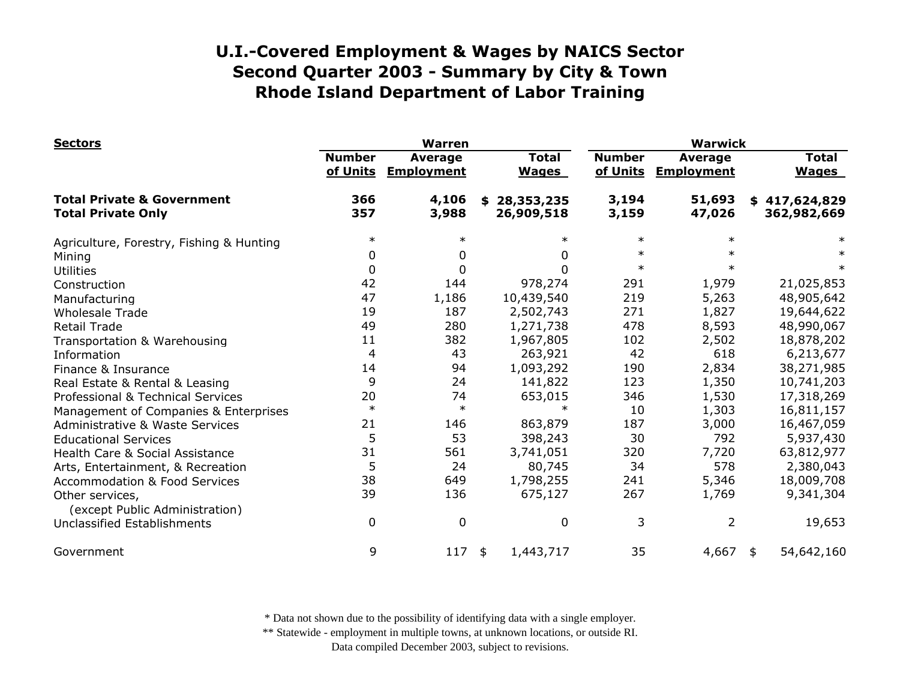| <b>Sectors</b>                                                     | <b>Warren</b>             |                                     |                                | <b>Warwick</b>            |                                     |                              |
|--------------------------------------------------------------------|---------------------------|-------------------------------------|--------------------------------|---------------------------|-------------------------------------|------------------------------|
|                                                                    | <b>Number</b><br>of Units | <b>Average</b><br><b>Employment</b> | <b>Total</b><br><b>Wages</b>   | <b>Number</b><br>of Units | <b>Average</b><br><b>Employment</b> | <b>Total</b><br><b>Wages</b> |
| <b>Total Private &amp; Government</b><br><b>Total Private Only</b> | 366<br>357                | 4,106<br>3,988                      | 28,353,235<br>\$<br>26,909,518 | 3,194<br>3,159            | 51,693<br>47,026                    | \$417,624,829<br>362,982,669 |
| Agriculture, Forestry, Fishing & Hunting                           | $\ast$                    | $\ast$                              | $\ast$                         | $\ast$                    | $\ast$                              |                              |
| Mining                                                             | 0                         | 0                                   | 0                              | $\ast$                    |                                     |                              |
| <b>Utilities</b>                                                   | 0                         | 0                                   | 0                              | $\ast$                    |                                     |                              |
| Construction                                                       | 42                        | 144                                 | 978,274                        | 291                       | 1,979                               | 21,025,853                   |
| Manufacturing                                                      | 47                        | 1,186                               | 10,439,540                     | 219                       | 5,263                               | 48,905,642                   |
| <b>Wholesale Trade</b>                                             | 19                        | 187                                 | 2,502,743                      | 271                       | 1,827                               | 19,644,622                   |
| <b>Retail Trade</b>                                                | 49                        | 280                                 | 1,271,738                      | 478                       | 8,593                               | 48,990,067                   |
| Transportation & Warehousing                                       | 11                        | 382                                 | 1,967,805                      | 102                       | 2,502                               | 18,878,202                   |
| Information                                                        | $\overline{4}$            | 43                                  | 263,921                        | 42                        | 618                                 | 6,213,677                    |
| Finance & Insurance                                                | 14                        | 94                                  | 1,093,292                      | 190                       | 2,834                               | 38,271,985                   |
| Real Estate & Rental & Leasing                                     | 9                         | 24                                  | 141,822                        | 123                       | 1,350                               | 10,741,203                   |
| Professional & Technical Services                                  | 20                        | 74                                  | 653,015                        | 346                       | 1,530                               | 17,318,269                   |
| Management of Companies & Enterprises                              | $\ast$                    | $\ast$                              | $\ast$                         | 10                        | 1,303                               | 16,811,157                   |
| <b>Administrative &amp; Waste Services</b>                         | 21                        | 146                                 | 863,879                        | 187                       | 3,000                               | 16,467,059                   |
| <b>Educational Services</b>                                        | 5                         | 53                                  | 398,243                        | 30                        | 792                                 | 5,937,430                    |
| Health Care & Social Assistance                                    | 31                        | 561                                 | 3,741,051                      | 320                       | 7,720                               | 63,812,977                   |
| Arts, Entertainment, & Recreation                                  | 5                         | 24                                  | 80,745                         | 34                        | 578                                 | 2,380,043                    |
| <b>Accommodation &amp; Food Services</b>                           | 38                        | 649                                 | 1,798,255                      | 241                       | 5,346                               | 18,009,708                   |
| Other services,<br>(except Public Administration)                  | 39                        | 136                                 | 675,127                        | 267                       | 1,769                               | 9,341,304                    |
| Unclassified Establishments                                        | 0                         | $\boldsymbol{0}$                    | 0                              | 3                         | 2                                   | 19,653                       |
| Government                                                         | 9                         | 117                                 | 1,443,717<br>\$                | 35                        | 4,667                               | 54,642,160<br>\$             |

\* Data not shown due to the possibility of identifying data with a single employer.

\*\* Statewide - employment in multiple towns, at unknown locations, or outside RI.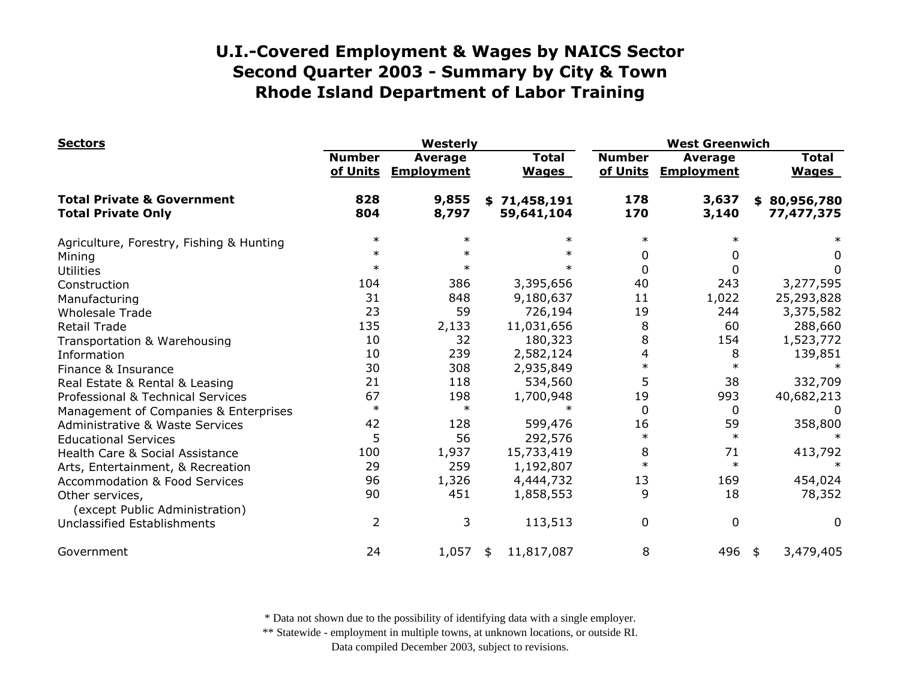| <b>Sectors</b>                                                     | Westerly                  |                                     |                              | <b>West Greenwich</b>     |                                     |                              |
|--------------------------------------------------------------------|---------------------------|-------------------------------------|------------------------------|---------------------------|-------------------------------------|------------------------------|
|                                                                    | <b>Number</b><br>of Units | <b>Average</b><br><b>Employment</b> | <b>Total</b><br><b>Wages</b> | <b>Number</b><br>of Units | <b>Average</b><br><b>Employment</b> | <b>Total</b><br><b>Wages</b> |
| <b>Total Private &amp; Government</b><br><b>Total Private Only</b> | 828<br>804                | 9,855<br>8,797                      | \$71,458,191<br>59,641,104   | 178<br>170                | 3,637<br>3,140                      | \$80,956,780<br>77,477,375   |
| Agriculture, Forestry, Fishing & Hunting                           | $\ast$                    | $\ast$                              | $\ast$                       | $\ast$                    | $\ast$                              |                              |
| Mining                                                             | $\ast$                    | $\ast$                              | $\ast$                       | 0                         | 0                                   | 0                            |
| <b>Utilities</b>                                                   | $\ast$                    |                                     | $\ast$                       | 0                         | 0                                   | 0                            |
| Construction                                                       | 104                       | 386                                 | 3,395,656                    | 40                        | 243                                 | 3,277,595                    |
| Manufacturing                                                      | 31                        | 848                                 | 9,180,637                    | 11                        | 1,022                               | 25,293,828                   |
| <b>Wholesale Trade</b>                                             | 23                        | 59                                  | 726,194                      | 19                        | 244                                 | 3,375,582                    |
| <b>Retail Trade</b>                                                | 135                       | 2,133                               | 11,031,656                   | 8                         | 60                                  | 288,660                      |
| Transportation & Warehousing                                       | 10                        | 32                                  | 180,323                      | 8                         | 154                                 | 1,523,772                    |
| Information                                                        | 10                        | 239                                 | 2,582,124                    | 4                         | 8                                   | 139,851                      |
| Finance & Insurance                                                | 30                        | 308                                 | 2,935,849                    | $\ast$                    | $\ast$                              |                              |
| Real Estate & Rental & Leasing                                     | 21                        | 118                                 | 534,560                      | 5                         | 38                                  | 332,709                      |
| Professional & Technical Services                                  | 67                        | 198                                 | 1,700,948                    | 19                        | 993                                 | 40,682,213                   |
| Management of Companies & Enterprises                              | $\ast$                    | $\ast$                              |                              | $\Omega$                  | 0                                   |                              |
| <b>Administrative &amp; Waste Services</b>                         | 42                        | 128                                 | 599,476                      | 16                        | 59                                  | 358,800                      |
| <b>Educational Services</b>                                        | 5                         | 56                                  | 292,576                      | $\ast$                    | $\ast$                              |                              |
| Health Care & Social Assistance                                    | 100                       | 1,937                               | 15,733,419                   | 8                         | 71                                  | 413,792                      |
| Arts, Entertainment, & Recreation                                  | 29                        | 259                                 | 1,192,807                    | $\ast$                    | $\ast$                              | $\ast$                       |
| <b>Accommodation &amp; Food Services</b>                           | 96                        | 1,326                               | 4,444,732                    | 13                        | 169                                 | 454,024                      |
| Other services,<br>(except Public Administration)                  | 90                        | 451                                 | 1,858,553                    | 9                         | 18                                  | 78,352                       |
| Unclassified Establishments                                        | $\overline{2}$            | 3                                   | 113,513                      | 0                         | $\mathbf 0$                         | 0                            |
| Government                                                         | 24                        | 1,057                               | 11,817,087<br>\$             | 8                         | 496                                 | 3,479,405<br>\$              |

\* Data not shown due to the possibility of identifying data with a single employer.

\*\* Statewide - employment in multiple towns, at unknown locations, or outside RI.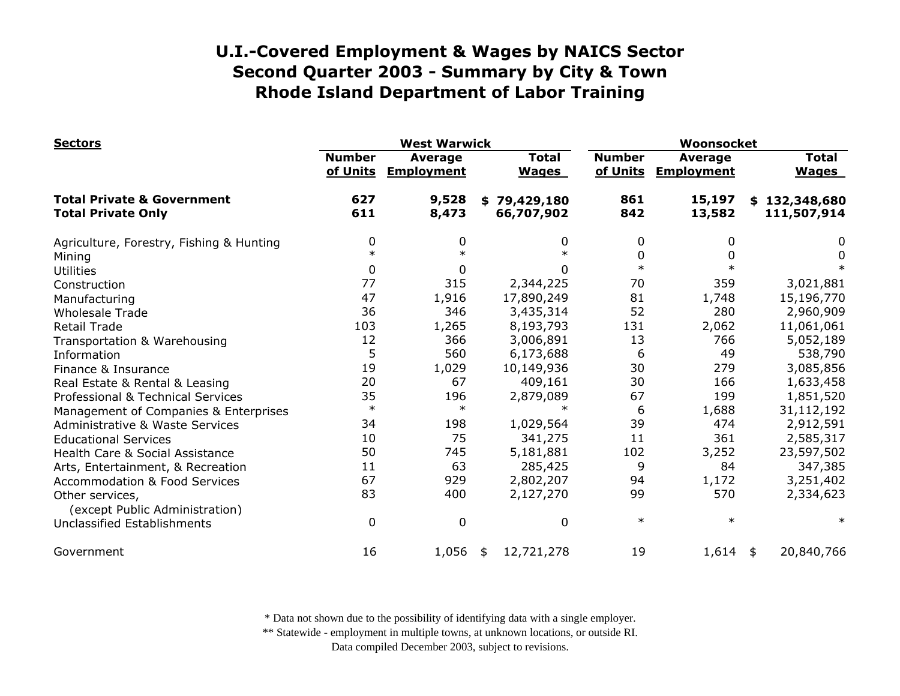| <b>Sectors</b>                                                     | <b>West Warwick</b>       |                                     |                              | Woonsocket                |                                     |                              |
|--------------------------------------------------------------------|---------------------------|-------------------------------------|------------------------------|---------------------------|-------------------------------------|------------------------------|
|                                                                    | <b>Number</b><br>of Units | <b>Average</b><br><b>Employment</b> | <b>Total</b><br><b>Wages</b> | <b>Number</b><br>of Units | <b>Average</b><br><b>Employment</b> | <b>Total</b><br><b>Wages</b> |
| <b>Total Private &amp; Government</b><br><b>Total Private Only</b> | 627<br>611                | 9,528<br>8,473                      | \$79,429,180<br>66,707,902   | 861<br>842                | 15,197<br>13,582                    | \$132,348,680<br>111,507,914 |
| Agriculture, Forestry, Fishing & Hunting                           | 0                         | 0                                   | 0                            | 0                         | 0                                   | 0                            |
| Mining                                                             | $\ast$                    | $\ast$                              | $\ast$                       | 0                         |                                     | 0                            |
| <b>Utilities</b>                                                   | 0                         | 0                                   | 0                            | $\ast$                    |                                     |                              |
| Construction                                                       | 77                        | 315                                 | 2,344,225                    | 70                        | 359                                 | 3,021,881                    |
| Manufacturing                                                      | 47                        | 1,916                               | 17,890,249                   | 81                        | 1,748                               | 15,196,770                   |
| <b>Wholesale Trade</b>                                             | 36                        | 346                                 | 3,435,314                    | 52                        | 280                                 | 2,960,909                    |
| <b>Retail Trade</b>                                                | 103                       | 1,265                               | 8,193,793                    | 131                       | 2,062                               | 11,061,061                   |
| Transportation & Warehousing                                       | 12                        | 366                                 | 3,006,891                    | 13                        | 766                                 | 5,052,189                    |
| Information                                                        | 5                         | 560                                 | 6,173,688                    | 6                         | 49                                  | 538,790                      |
| Finance & Insurance                                                | 19                        | 1,029                               | 10,149,936                   | 30                        | 279                                 | 3,085,856                    |
| Real Estate & Rental & Leasing                                     | 20                        | 67                                  | 409,161                      | 30                        | 166                                 | 1,633,458                    |
| Professional & Technical Services                                  | 35                        | 196                                 | 2,879,089                    | 67                        | 199                                 | 1,851,520                    |
| Management of Companies & Enterprises                              | $\ast$                    | $\ast$                              | $\ast$                       | 6                         | 1,688                               | 31,112,192                   |
| <b>Administrative &amp; Waste Services</b>                         | 34                        | 198                                 | 1,029,564                    | 39                        | 474                                 | 2,912,591                    |
| <b>Educational Services</b>                                        | 10                        | 75                                  | 341,275                      | 11                        | 361                                 | 2,585,317                    |
| Health Care & Social Assistance                                    | 50                        | 745                                 | 5,181,881                    | 102                       | 3,252                               | 23,597,502                   |
| Arts, Entertainment, & Recreation                                  | 11                        | 63                                  | 285,425                      | 9                         | 84                                  | 347,385                      |
| <b>Accommodation &amp; Food Services</b>                           | 67                        | 929                                 | 2,802,207                    | 94                        | 1,172                               | 3,251,402                    |
| Other services,<br>(except Public Administration)                  | 83                        | 400                                 | 2,127,270                    | 99                        | 570                                 | 2,334,623                    |
| Unclassified Establishments                                        | 0                         | $\mathbf 0$                         | 0                            | $\ast$                    | $\ast$                              | $\ast$                       |
| Government                                                         | 16                        | 1,056                               | 12,721,278<br>\$             | 19                        | $1,614$ \$                          | 20,840,766                   |

\* Data not shown due to the possibility of identifying data with a single employer.

\*\* Statewide - employment in multiple towns, at unknown locations, or outside RI.